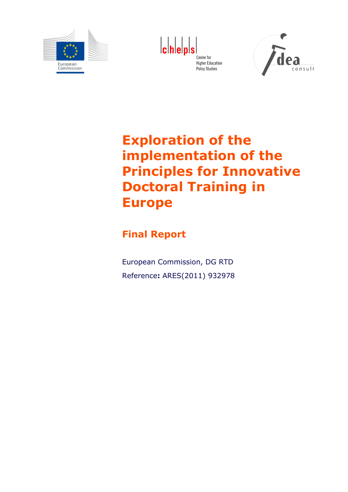

**cheps** Center for **Higher Education Policy Studies** 



# **Exploration of the implementation of the Principles for Innovative Doctoral Training in Europe**

## **Final Report**

European Commission, DG RTD Reference**:** ARES(2011) 932978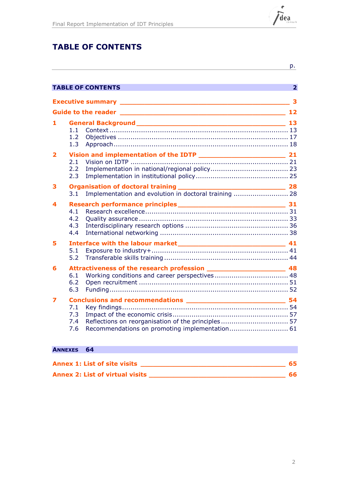

## **TABLE OF CONTENTS**

|   |                                                                                | p.           |
|---|--------------------------------------------------------------------------------|--------------|
|   | <b>TABLE OF CONTENTS</b>                                                       | $\mathbf{2}$ |
|   | Executive summary <b>Executive Summary</b>                                     |              |
|   |                                                                                | 12           |
|   | 1.1<br>1.2<br>1.3                                                              |              |
| 2 | 2.1<br>2.2<br>2.3                                                              |              |
| з | Implementation and evolution in doctoral training  28<br>3.1                   |              |
| 4 | 4.1<br>4.2<br>4.3<br>4.4                                                       |              |
| 5 | 5.1<br>5.2                                                                     |              |
| 6 | 6.1<br>6.2<br>6.3                                                              |              |
| 7 | 7.1<br>7.3<br>Reflections on reorganisation of the principles 57<br>7.4<br>7.6 |              |

## **ANNEXES 64 Annex 1: List of site visits \_\_\_\_\_\_\_\_\_\_\_\_\_\_\_\_\_\_\_\_\_\_\_\_\_\_\_\_\_\_\_\_\_\_\_ 65**

| <b>Annex 2: List of virtual visits</b> |  |
|----------------------------------------|--|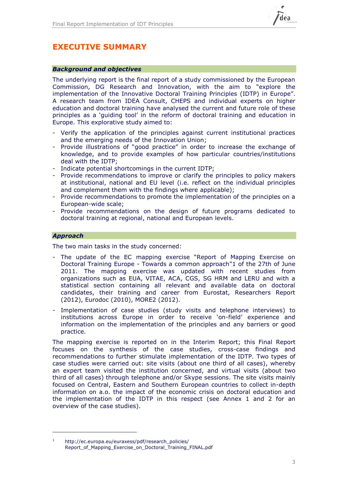

## **EXECUTIVE SUMMARY**

### *Background and objectives*

The underlying report is the final report of a study commissioned by the European Commission, DG Research and Innovation, with the aim to "explore the implementation of the Innovative Doctoral Training Principles (IDTP) in Europe". A research team from IDEA Consult, CHEPS and individual experts on higher education and doctoral training have analysed the current and future role of these principles as a 'guiding tool' in the reform of doctoral training and education in Europe. This explorative study aimed to:

- Verify the application of the principles against current institutional practices and the emerging needs of the Innovation Union;
- Provide illustrations of "good practice" in order to increase the exchange of knowledge, and to provide examples of how particular countries/institutions deal with the IDTP;
- Indicate potential shortcomings in the current IDTP;
- Provide recommendations to improve or clarify the principles to policy makers at institutional, national and EU level (i.e. reflect on the individual principles and complement them with the findings where applicable);
- Provide recommendations to promote the implementation of the principles on a European-wide scale;
- Provide recommendations on the design of future programs dedicated to doctoral training at regional, national and European levels.

### *Approach*

-

The two main tasks in the study concerned:

- The update of the EC mapping exercise "Report of Mapping Exercise on Doctoral Training Europe - Towards a common approach"1 of the 27th of June 2011. The mapping exercise was updated with recent studies from organizations such as EUA, VITAE, ACA, CGS, SG HRM and LERU and with a statistical section containing all relevant and available data on doctoral candidates, their training and career from Eurostat, Researchers Report (2012), Eurodoc (2010), MORE2 (2012).
- Implementation of case studies (study visits and telephone interviews) to institutions across Europe in order to receive 'on-field' experience and information on the implementation of the principles and any barriers or good practice.

The mapping exercise is reported on in the Interim Report; this Final Report focuses on the synthesis of the case studies, cross-case findings and recommendations to further stimulate implementation of the IDTP. Two types of case studies were carried out: site visits (about one third of all cases), whereby an expert team visited the institution concerned, and virtual visits (about two third of all cases) through telephone and/or Skype sessions. The site visits mainly focused on Central, Eastern and Southern European countries to collect in-depth information on a.o. the impact of the economic crisis on doctoral education and the implementation of the IDTP in this respect (see Annex 1 and 2 for an overview of the case studies).

<sup>&</sup>lt;sup>1</sup> http://ec.europa.eu/euraxess/pdf/research\_policies/ [Report\\_of\\_Mapping\\_Exercise\\_on\\_Doctoral\\_Training\\_FINAL.pdf](http://ec.europa.eu/euraxess/pdf/research_policies/%20Report_of_Mapping_Exercise_on_Doctoral_Training_FINAL.pdf)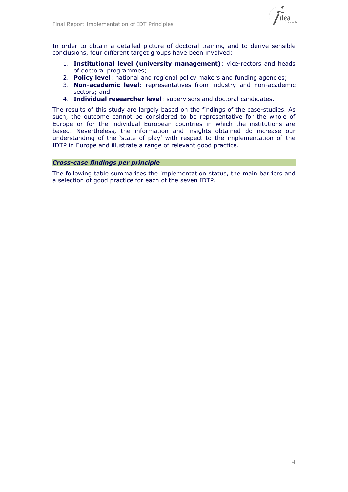

In order to obtain a detailed picture of doctoral training and to derive sensible conclusions, four different target groups have been involved:

- 1. **Institutional level (university management)**: vice-rectors and heads of doctoral programmes;
- 2. **Policy level**: national and regional policy makers and funding agencies;
- 3. **Non-academic level**: representatives from industry and non-academic sectors; and
- 4. **Individual researcher level**: supervisors and doctoral candidates.

The results of this study are largely based on the findings of the case-studies. As such, the outcome cannot be considered to be representative for the whole of Europe or for the individual European countries in which the institutions are based. Nevertheless, the information and insights obtained do increase our understanding of the 'state of play' with respect to the implementation of the IDTP in Europe and illustrate a range of relevant good practice.

### *Cross-case findings per principle*

The following table summarises the implementation status, the main barriers and a selection of good practice for each of the seven IDTP.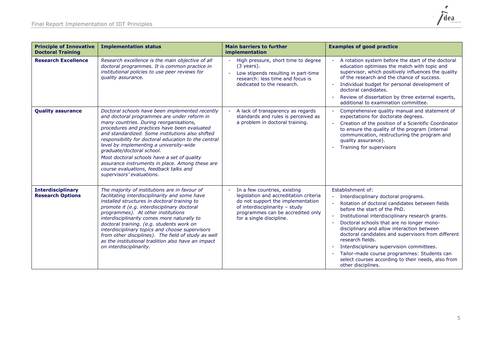

| <b>Principle of Innovative</b><br><b>Doctoral Training</b> | <b>Implementation status</b>                                                                                                                                                                                                                                                                                                                                                                                                                                                                                                                           | <b>Main barriers to further</b><br>implementation                                                                                                                                                                          | <b>Examples of good practice</b>                                                                                                                                                                                                                                                                                                                                                                                                                                                                                                                       |
|------------------------------------------------------------|--------------------------------------------------------------------------------------------------------------------------------------------------------------------------------------------------------------------------------------------------------------------------------------------------------------------------------------------------------------------------------------------------------------------------------------------------------------------------------------------------------------------------------------------------------|----------------------------------------------------------------------------------------------------------------------------------------------------------------------------------------------------------------------------|--------------------------------------------------------------------------------------------------------------------------------------------------------------------------------------------------------------------------------------------------------------------------------------------------------------------------------------------------------------------------------------------------------------------------------------------------------------------------------------------------------------------------------------------------------|
| <b>Research Excellence</b>                                 | Research excellence is the main objective of all<br>doctoral programmes. It is common practice in<br>institutional policies to use peer reviews for<br>quality assurance.                                                                                                                                                                                                                                                                                                                                                                              | High pressure, short time to degree<br>$(3 \text{ years})$ .<br>Low stipends resulting in part-time<br>$\omega$<br>research: less time and focus is<br>dedicated to the research.                                          | A rotation system before the start of the doctoral<br>education optimises the match with topic and<br>supervisor, which positively influences the quality<br>of the research and the chance of success.<br>Individual budget for personal development of<br>$\sim$<br>doctoral candidates.<br>Review of dissertation by three external experts,<br>additional to examination committee.                                                                                                                                                                |
| <b>Quality assurance</b>                                   | Doctoral schools have been implemented recently<br>and doctoral programmes are under reform in<br>many countries. During reorganisations,<br>procedures and practices have been evaluated<br>and standardized. Some institutions also shifted<br>responsibility for doctoral education to the central<br>level by implementing a university-wide<br>graduate/doctoral school.<br>Most doctoral schools have a set of quality<br>assurance instruments in place. Among these are<br>course evaluations, feedback talks and<br>supervisors' evaluations. | A lack of transparency as regards<br>standards and rules is perceived as<br>a problem in doctoral training.                                                                                                                | Comprehensive quality manual and statement of<br>expectations for doctorate degrees.<br>Creation of the position of a Scientific Coordinator<br>$\sim$<br>to ensure the quality of the program (internal<br>communication, restructuring the program and<br>quality assurance).<br>Training for supervisors                                                                                                                                                                                                                                            |
| <b>Interdisciplinary</b><br><b>Research Options</b>        | The majority of institutions are in favour of<br>facilitating interdisciplinarity and some have<br>installed structures in doctoral training to<br>promote it (e.g. interdisciplinary doctoral<br>programmes). At other institutions<br>interdisciplinarity comes more naturally to<br>doctoral training. (e.g. students work on<br>interdisciplinary topics and choose supervisors<br>from other disciplines). The field of study as well<br>as the institutional tradition also have an impact<br>on interdisciplinarity.                            | In a few countries, existing<br>$\equiv$<br>legislation and accreditation criteria<br>do not support the implementation<br>of interdisciplinarity - study<br>programmes can be accredited only<br>for a single discipline. | Establishment of:<br>Interdisciplinary doctoral programs.<br>Rotation of doctoral candidates between fields<br>before the start of the PhD.<br>Institutional interdisciplinary research grants.<br>$\sim$<br>Doctoral schools that are no longer mono-<br>disciplinary and allow interaction between<br>doctoral candidates and supervisors from different<br>research fields.<br>Interdisciplinary supervision committees.<br>Tailor-made course programmes: Students can<br>select courses according to their needs, also from<br>other disciplines. |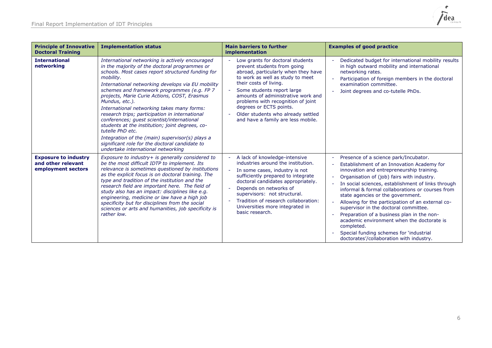

| <b>Principle of Innovative</b><br><b>Doctoral Training</b>              | <b>Implementation status</b>                                                                                                                                                                                                                                                                                                                                                                                                                                                                                                                                                                                                                                                                             | <b>Main barriers to further</b><br>implementation                                                                                                                                                                                                                                                                                                                                                    | <b>Examples of good practice</b>                                                                                                                                                                                                                                                                                                                                                                                                                                                                                                                                                                                             |
|-------------------------------------------------------------------------|----------------------------------------------------------------------------------------------------------------------------------------------------------------------------------------------------------------------------------------------------------------------------------------------------------------------------------------------------------------------------------------------------------------------------------------------------------------------------------------------------------------------------------------------------------------------------------------------------------------------------------------------------------------------------------------------------------|------------------------------------------------------------------------------------------------------------------------------------------------------------------------------------------------------------------------------------------------------------------------------------------------------------------------------------------------------------------------------------------------------|------------------------------------------------------------------------------------------------------------------------------------------------------------------------------------------------------------------------------------------------------------------------------------------------------------------------------------------------------------------------------------------------------------------------------------------------------------------------------------------------------------------------------------------------------------------------------------------------------------------------------|
| <b>International</b><br>networking                                      | International networking is actively encouraged<br>in the majority of the doctoral programmes or<br>schools. Most cases report structured funding for<br>mobility.<br>International networking develops via EU mobility<br>schemes and framework programmes (e.g. FP 7<br>projects, Marie Curie Actions, COST, Erasmus<br>Mundus, etc.).<br>International networking takes many forms:<br>research trips; participation in international<br>conferences; guest scientist/international<br>students at the institution; joint degrees, co-<br>tutelle PhD etc.<br>Integration of the (main) supervisor(s) plays a<br>significant role for the doctoral candidate to<br>undertake international networking | Low grants for doctoral students<br>prevent students from going<br>abroad, particularly when they have<br>to work as well as study to meet<br>their costs of living.<br>Some students report large<br>amounts of administrative work and<br>problems with recognition of joint<br>degrees or ECTS points.<br>Older students who already settled<br>and have a family are less mobile.                | Dedicated budget for international mobility results<br>in high outward mobility and international<br>networking rates.<br>Participation of foreign members in the doctoral<br>examination committee.<br>Joint degrees and co-tutelle PhDs.                                                                                                                                                                                                                                                                                                                                                                                   |
| <b>Exposure to industry</b><br>and other relevant<br>employment sectors | Exposure to industry+ is generally considered to<br>be the most difficult IDTP to implement. Its<br>relevance is sometimes questioned by institutions<br>as the explicit focus is on doctoral training. The<br>type and tradition of the institution and the<br>research field are important here. The field of<br>study also has an impact: disciplines like e.g.<br>engineering, medicine or law have a high job<br>specificity but for disciplines from the social<br>sciences or arts and humanities, job specificity is<br>rather low.                                                                                                                                                              | A lack of knowledge-intensive<br>$\equiv$<br>industries around the institution.<br>In some cases, industry is not<br>÷.<br>sufficiently prepared to integrate<br>doctoral candidates appropriately.<br>Depends on networks of<br>$\bar{\phantom{a}}$<br>supervisors: not structural.<br>Tradition of research collaboration:<br>$\overline{a}$<br>Universities more integrated in<br>basic research. | Presence of a science park/Incubator.<br>Establishment of an Innovation Academy for<br>innovation and entrepreneurship training.<br>Organisation of (job) fairs with industry.<br>In social sciences, establishment of links through<br>informal & formal collaborations or courses from<br>state agencies or the government.<br>Allowing for the participation of an external co-<br>supervisor in the doctoral committee.<br>Preparation of a business plan in the non-<br>academic environment when the doctorate is<br>completed.<br>Special funding schemes for 'industrial<br>doctorates'/collaboration with industry. |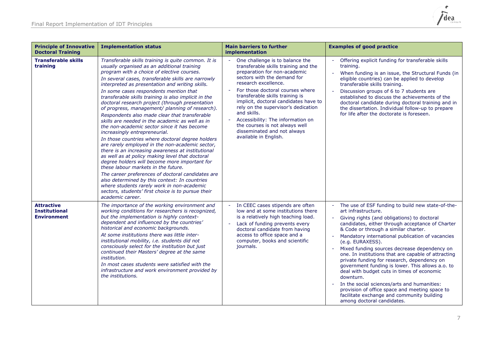

| <b>Principle of Innovative</b><br><b>Doctoral Training</b>      | <b>Implementation status</b>                                                                                                                                                                                                                                                                                                                                                                                                                                                                                                                                                                                                                                                                                                                                                                                                                                                                                                                                                                                                                                                                                                                                                               | <b>Main barriers to further</b><br><i>implementation</i>                                                                                                                                                                                                                                                                                                                                                                                                                        | <b>Examples of good practice</b>                                                                                                                                                                                                                                                                                                                                                                                                                                                                                                                                                                                                                                                                                                                                                                |
|-----------------------------------------------------------------|--------------------------------------------------------------------------------------------------------------------------------------------------------------------------------------------------------------------------------------------------------------------------------------------------------------------------------------------------------------------------------------------------------------------------------------------------------------------------------------------------------------------------------------------------------------------------------------------------------------------------------------------------------------------------------------------------------------------------------------------------------------------------------------------------------------------------------------------------------------------------------------------------------------------------------------------------------------------------------------------------------------------------------------------------------------------------------------------------------------------------------------------------------------------------------------------|---------------------------------------------------------------------------------------------------------------------------------------------------------------------------------------------------------------------------------------------------------------------------------------------------------------------------------------------------------------------------------------------------------------------------------------------------------------------------------|-------------------------------------------------------------------------------------------------------------------------------------------------------------------------------------------------------------------------------------------------------------------------------------------------------------------------------------------------------------------------------------------------------------------------------------------------------------------------------------------------------------------------------------------------------------------------------------------------------------------------------------------------------------------------------------------------------------------------------------------------------------------------------------------------|
| <b>Transferable skills</b><br>training                          | Transferable skills training is quite common. It is<br>usually organised as an additional training<br>program with a choice of elective courses.<br>In several cases, transferable skills are narrowly<br>interpreted as presentation and writing skills.<br>In some cases respondents mention that<br>transferable skills training is also implicit in the<br>doctoral research project (through presentation<br>of progress, management/ planning of research).<br>Respondents also made clear that transferable<br>skills are needed in the academic as well as in<br>the non-academic sector since it has become<br>increasingly entrepreneurial.<br>In those countries where doctoral degree holders<br>are rarely employed in the non-academic sector,<br>there is an increasing awareness at institutional<br>as well as at policy making level that doctoral<br>degree holders will become more important for<br>these labour markets in the future.<br>The career preferences of doctoral candidates are<br>also determined by this context: In countries<br>where students rarely work in non-academic<br>sectors, students' first choice is to pursue their<br>academic career. | One challenge is to balance the<br>transferable skills training and the<br>preparation for non-academic<br>sectors with the demand for<br>research excellence.<br>For those doctoral courses where<br>transferable skills training is<br>implicit, doctoral candidates have to<br>rely on the supervisor's dedication<br>and skills.<br>Accessibility: The information on<br>$\omega$<br>the courses is not always well<br>disseminated and not always<br>available in English. | Offering explicit funding for transferable skills<br>training.<br>$\omega$<br>When funding is an issue, the Structural Funds (in<br>eligible countries) can be applied to develop<br>transferable skills training.<br>Discussion groups of 6 to 7 students are<br>established to discuss the achievements of the<br>doctoral candidate during doctoral training and in<br>the dissertation. Individual follow-up to prepare<br>for life after the doctorate is foreseen.                                                                                                                                                                                                                                                                                                                        |
| <b>Attractive</b><br><b>Institutional</b><br><b>Environment</b> | The importance of the working environment and<br>working conditions for researchers is recognized,<br>but the implementation is highly context-<br>dependent and influenced by the countries'<br>historical and economic backgrounds.<br>At some institutions there was little inter-<br>institutional mobility, i.e. students did not<br>consciously select for the institution but just<br>continued their Masters' degree at the same<br>institution.<br>In most cases students were satisfied with the<br>infrastructure and work environment provided by<br>the institutions.                                                                                                                                                                                                                                                                                                                                                                                                                                                                                                                                                                                                         | In CEEC cases stipends are often<br>low and at some institutions there<br>is a relatively high teaching load.<br>Lack of funding prevents every<br>$\equiv$<br>doctoral candidate from having<br>access to office space and a<br>computer, books and scientific<br>journals.                                                                                                                                                                                                    | The use of ESF funding to build new state-of-the-<br>$\equiv$<br>art infrastructure.<br>Giving rights (and obligations) to doctoral<br>candidates, either through acceptance of Charter<br>& Code or through a similar charter.<br>Mandatory international publication of vacancies<br>$\blacksquare$<br>(e.g. EURAXESS).<br>Mixed funding sources decrease dependency on<br>$\sim$<br>one. In institutions that are capable of attracting<br>private funding for research, dependency on<br>government funding is lower. This allows a.o. to<br>deal with budget cuts in times of economic<br>downturn.<br>In the social sciences/arts and humanities:<br>$\sim$<br>provision of office space and meeting space to<br>facilitate exchange and community building<br>among doctoral candidates. |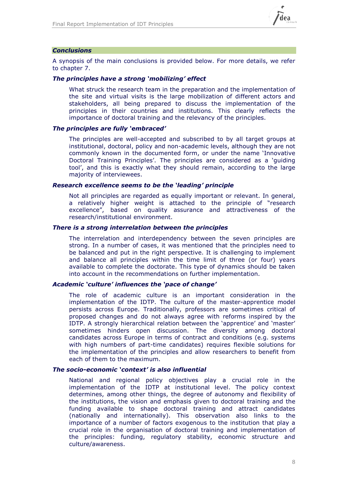

### *Conclusions*

A synopsis of the main conclusions is provided below. For more details, we refer to chapter 7.

### *The principles have a strong 'mobilizing' effect*

What struck the research team in the preparation and the implementation of the site and virtual visits is the large mobilization of different actors and stakeholders, all being prepared to discuss the implementation of the principles in their countries and institutions. This clearly reflects the importance of doctoral training and the relevancy of the principles.

### *The principles are fully 'embraced'*

The principles are well-accepted and subscribed to by all target groups at institutional, doctoral, policy and non-academic levels, although they are not commonly known in the documented form, or under the name 'Innovative Doctoral Training Principles'. The principles are considered as a 'guiding tool', and this is exactly what they should remain, according to the large majority of interviewees.

### *Research excellence seems to be the 'leading' principle*

Not all principles are regarded as equally important or relevant. In general, a relatively higher weight is attached to the principle of "research excellence", based on quality assurance and attractiveness of the research/institutional environment.

### *There is a strong interrelation between the principles*

The interrelation and interdependency between the seven principles are strong. In a number of cases, it was mentioned that the principles need to be balanced and put in the right perspective. It is challenging to implement and balance all principles within the time limit of three (or four) years available to complete the doctorate. This type of dynamics should be taken into account in the recommendations on further implementation.

### *Academic 'culture' influences the 'pace of change'*

The role of academic culture is an important consideration in the implementation of the IDTP. The culture of the master-apprentice model persists across Europe. Traditionally, professors are sometimes critical of proposed changes and do not always agree with reforms inspired by the IDTP. A strongly hierarchical relation between the 'apprentice' and 'master' sometimes hinders open discussion. The diversity among doctoral candidates across Europe in terms of contract and conditions (e.g. systems with high numbers of part-time candidates) requires flexible solutions for the implementation of the principles and allow researchers to benefit from each of them to the maximum.

### *The socio-economic 'context' is also influential*

National and regional policy objectives play a crucial role in the implementation of the IDTP at institutional level. The policy context determines, among other things, the degree of autonomy and flexibility of the institutions, the vision and emphasis given to doctoral training and the funding available to shape doctoral training and attract candidates (nationally and internationally). This observation also links to the importance of a number of factors exogenous to the institution that play a crucial role in the organisation of doctoral training and implementation of the principles: funding, regulatory stability, economic structure and culture/awareness.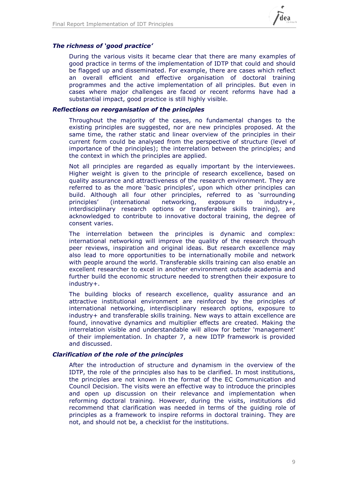

### *The richness of 'good practice'*

During the various visits it became clear that there are many examples of good practice in terms of the implementation of IDTP that could and should be flagged up and disseminated. For example, there are cases which reflect an overall efficient and effective organisation of doctoral training programmes and the active implementation of all principles. But even in cases where major challenges are faced or recent reforms have had a substantial impact, good practice is still highly visible.

### *Reflections on reorganisation of the principles*

Throughout the majority of the cases, no fundamental changes to the existing principles are suggested, nor are new principles proposed. At the same time, the rather static and linear overview of the principles in their current form could be analysed from the perspective of structure (level of importance of the principles); the interrelation between the principles; and the context in which the principles are applied.

Not all principles are regarded as equally important by the interviewees. Higher weight is given to the principle of research excellence, based on quality assurance and attractiveness of the research environment. They are referred to as the more 'basic principles', upon which other principles can build. Although all four other principles, referred to as 'surrounding principles' (international networking, exposure to industry+, interdisciplinary research options or transferable skills training), are acknowledged to contribute to innovative doctoral training, the degree of consent varies.

The interrelation between the principles is dynamic and complex: international networking will improve the quality of the research through peer reviews, inspiration and original ideas. But research excellence may also lead to more opportunities to be internationally mobile and network with people around the world. Transferable skills training can also enable an excellent researcher to excel in another environment outside academia and further build the economic structure needed to strengthen their exposure to industry+.

The building blocks of research excellence, quality assurance and an attractive institutional environment are reinforced by the principles of international networking, interdisciplinary research options, exposure to industry+ and transferable skills training. New ways to attain excellence are found, innovative dynamics and multiplier effects are created. Making the interrelation visible and understandable will allow for better 'management' of their implementation. In chapter 7, a new IDTP framework is provided and discussed.

### *Clarification of the role of the principles*

After the introduction of structure and dynamism in the overview of the IDTP, the role of the principles also has to be clarified. In most institutions, the principles are not known in the format of the EC Communication and Council Decision. The visits were an effective way to introduce the principles and open up discussion on their relevance and implementation when reforming doctoral training. However, during the visits, institutions did recommend that clarification was needed in terms of the guiding role of principles as a framework to inspire reforms in doctoral training. They are not, and should not be, a checklist for the institutions.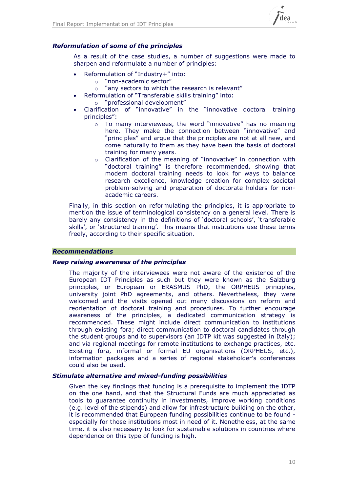

### *Reformulation of some of the principles*

As a result of the case studies, a number of suggestions were made to sharpen and reformulate a number of principles:

- Reformulation of "Industry+" into:
	- o "non-academic sector"
	- o "any sectors to which the research is relevant"
- Reformulation of "Transferable skills training" into:
	- o "professional development"
- Clarification of "innovative" in the "innovative doctoral training principles":
	- $\circ$  To many interviewees, the word "innovative" has no meaning here. They make the connection between "innovative" and "principles" and argue that the principles are not at all new, and come naturally to them as they have been the basis of doctoral training for many years.
	- o Clarification of the meaning of "innovative" in connection with "doctoral training" is therefore recommended, showing that modern doctoral training needs to look for ways to balance research excellence, knowledge creation for complex societal problem-solving and preparation of doctorate holders for nonacademic careers.

Finally, in this section on reformulating the principles, it is appropriate to mention the issue of terminological consistency on a general level. There is barely any consistency in the definitions of 'doctoral schools', 'transferable skills', or 'structured training'. This means that institutions use these terms freely, according to their specific situation.

### *Recommendations*

### *Keep raising awareness of the principles*

The majority of the interviewees were not aware of the existence of the European IDT Principles as such but they were known as the Salzburg principles, or European or ERASMUS PhD, the ORPHEUS principles, university joint PhD agreements, and others. Nevertheless, they were welcomed and the visits opened out many discussions on reform and reorientation of doctoral training and procedures. To further encourage awareness of the principles, a dedicated communication strategy is recommended. These might include direct communication to institutions through existing fora; direct communication to doctoral candidates through the student groups and to supervisors (an IDTP kit was suggested in Italy); and via regional meetings for remote institutions to exchange practices, etc. Existing fora, informal or formal EU organisations (ORPHEUS, etc.), information packages and a series of regional stakeholder's conferences could also be used.

### *Stimulate alternative and mixed-funding possibilities*

Given the key findings that funding is a prerequisite to implement the IDTP on the one hand, and that the Structural Funds are much appreciated as tools to guarantee continuity in investments, improve working conditions (e.g. level of the stipends) and allow for infrastructure building on the other, it is recommended that European funding possibilities continue to be found especially for those institutions most in need of it. Nonetheless, at the same time, it is also necessary to look for sustainable solutions in countries where dependence on this type of funding is high.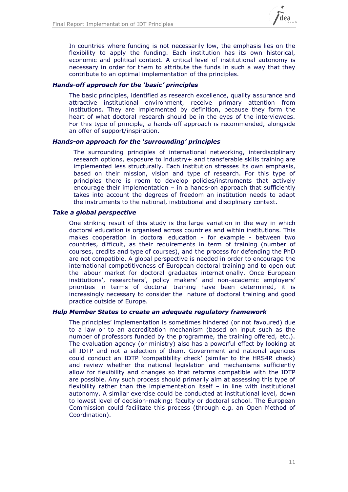

In countries where funding is not necessarily low, the emphasis lies on the flexibility to apply the funding. Each institution has its own historical, economic and political context. A critical level of institutional autonomy is necessary in order for them to attribute the funds in such a way that they contribute to an optimal implementation of the principles.

### *Hands-off approach for the 'basic' principles*

The basic principles, identified as research excellence, quality assurance and attractive institutional environment, receive primary attention from institutions. They are implemented by definition, because they form the heart of what doctoral research should be in the eyes of the interviewees. For this type of principle, a hands-off approach is recommended, alongside an offer of support/inspiration.

### *Hands-on approach for the 'surrounding' principles*

The surrounding principles of international networking, interdisciplinary research options, exposure to industry+ and transferable skills training are implemented less structurally. Each institution stresses its own emphasis, based on their mission, vision and type of research. For this type of principles there is room to develop policies/instruments that actively encourage their implementation  $-$  in a hands-on approach that sufficiently takes into account the degrees of freedom an institution needs to adapt the instruments to the national, institutional and disciplinary context.

### *Take a global perspective*

One striking result of this study is the large variation in the way in which doctoral education is organised across countries and within institutions. This makes cooperation in doctoral education - for example - between two countries, difficult, as their requirements in term of training (number of courses, credits and type of courses), and the process for defending the PhD are not compatible. A global perspective is needed in order to encourage the international competitiveness of European doctoral training and to open out the labour market for doctoral graduates internationally. Once European institutions', researchers', policy makers' and non-academic employers' priorities in terms of doctoral training have been determined, it is increasingly necessary to consider the nature of doctoral training and good practice outside of Europe.

### *Help Member States to create an adequate regulatory framework*

The principles' implementation is sometimes hindered (or not favoured) due to a law or to an accreditation mechanism (based on input such as the number of professors funded by the programme, the training offered, etc.). The evaluation agency (or ministry) also has a powerful effect by looking at all IDTP and not a selection of them. Government and national agencies could conduct an IDTP 'compatibility check' (similar to the HRS4R check) and review whether the national legislation and mechanisms sufficiently allow for flexibility and changes so that reforms compatible with the IDTP are possible. Any such process should primarily aim at assessing this type of flexibility rather than the implementation itself – in line with institutional autonomy. A similar exercise could be conducted at institutional level, down to lowest level of decision-making: faculty or doctoral school. The European Commission could facilitate this process (through e.g. an Open Method of Coordination).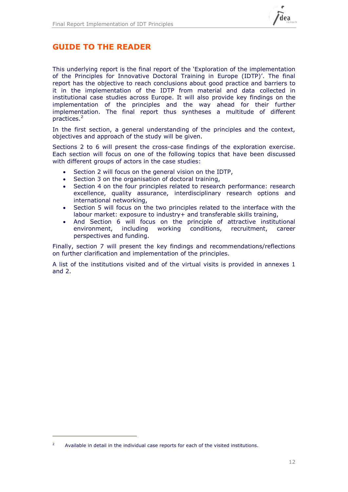

## **GUIDE TO THE READER**

This underlying report is the final report of the 'Exploration of the implementation of the Principles for Innovative Doctoral Training in Europe (IDTP)'. The final report has the objective to reach conclusions about good practice and barriers to it in the implementation of the IDTP from material and data collected in institutional case studies across Europe. It will also provide key findings on the implementation of the principles and the way ahead for their further implementation. The final report thus syntheses a multitude of different practices. 2

In the first section, a general understanding of the principles and the context, objectives and approach of the study will be given.

Sections 2 to 6 will present the cross-case findings of the exploration exercise. Each section will focus on one of the following topics that have been discussed with different groups of actors in the case studies:

- Section 2 will focus on the general vision on the IDTP,
- Section 3 on the organisation of doctoral training,
- Section 4 on the four principles related to research performance: research excellence, quality assurance, interdisciplinary research options and international networking,
- Section 5 will focus on the two principles related to the interface with the labour market: exposure to industry+ and transferable skills training,
- And Section 6 will focus on the principle of attractive institutional environment, including working conditions, recruitment, career perspectives and funding.

Finally, section 7 will present the key findings and recommendations/reflections on further clarification and implementation of the principles.

A list of the institutions visited and of the virtual visits is provided in annexes 1 and 2.

-

<sup>2</sup> Available in detail in the individual case reports for each of the visited institutions.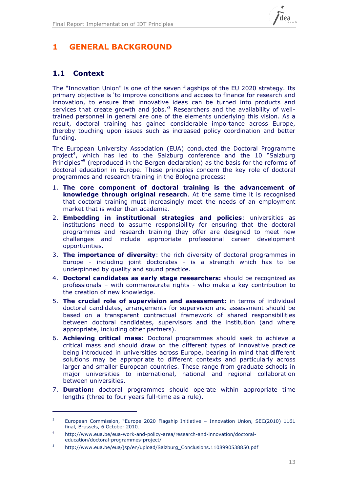

## **1 GENERAL BACKGROUND**

## **1.1 Context**

-

The "Innovation Union" is one of the seven flagships of the EU 2020 strategy. Its primary objective is 'to improve conditions and access to finance for research and innovation, to ensure that innovative ideas can be turned into products and services that create growth and jobs.<sup>3</sup> Researchers and the availability of welltrained personnel in general are one of the elements underlying this vision. As a result, doctoral training has gained considerable importance across Europe, thereby touching upon issues such as increased policy coordination and better funding.

The European University Association (EUA) conducted the Doctoral Programme project<sup>4</sup>, which has led to the Salzburg conference and the 10 "Salzburg Principles"<sup>5</sup> (reproduced in the Bergen declaration) as the basis for the reforms of doctoral education in Europe. These principles concern the key role of doctoral programmes and research training in the Bologna process:

- 1. **The core component of doctoral training is the advancement of knowledge through original research**. At the same time it is recognised that doctoral training must increasingly meet the needs of an employment market that is wider than academia.
- 2. **Embedding in institutional strategies and policies**: universities as institutions need to assume responsibility for ensuring that the doctoral programmes and research training they offer are designed to meet new challenges and include appropriate professional career development opportunities.
- 3. **The importance of diversity**: the rich diversity of doctoral programmes in Europe - including joint doctorates - is a strength which has to be underpinned by quality and sound practice.
- 4. **Doctoral candidates as early stage researchers:** should be recognized as professionals – with commensurate rights - who make a key contribution to the creation of new knowledge.
- 5. **The crucial role of supervision and assessment:** in terms of individual doctoral candidates, arrangements for supervision and assessment should be based on a transparent contractual framework of shared responsibilities between doctoral candidates, supervisors and the institution (and where appropriate, including other partners).
- 6. **Achieving critical mass:** Doctoral programmes should seek to achieve a critical mass and should draw on the different types of innovative practice being introduced in universities across Europe, bearing in mind that different solutions may be appropriate to different contexts and particularly across larger and smaller European countries. These range from graduate schools in major universities to international, national and regional collaboration between universities.
- 7. **Duration:** doctoral programmes should operate within appropriate time lengths (three to four years full-time as a rule).

European Commission, "Europe 2020 Flagship Initiative - Innovation Union, SEC(2010) 1161 final, Brussels, 6 October 2010.

<sup>4</sup> http://www.eua.be/eua-work-and-policy-area/research-and-innovation/doctoraleducation/doctoral-programmes-project/

<sup>5</sup> [http://www.eua.be/eua/jsp/en/upload/Salzburg\\_Conclusions.1108990538850.pdf](http://www.eua.be/eua/jsp/en/upload/Salzburg_Conclusions.1108990538850.pdf)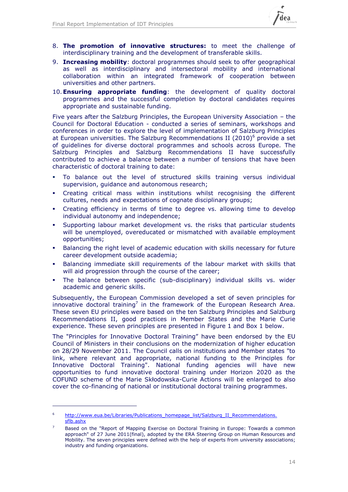

- 8. **The promotion of innovative structures:** to meet the challenge of interdisciplinary training and the development of transferable skills.
- 9. **Increasing mobility**: doctoral programmes should seek to offer geographical as well as interdisciplinary and intersectoral mobility and international collaboration within an integrated framework of cooperation between universities and other partners.
- 10.**Ensuring appropriate funding**: the development of quality doctoral programmes and the successful completion by doctoral candidates requires appropriate and sustainable funding.

Five years after the Salzburg Principles, the European University Association – the Council for Doctoral Education - conducted a series of seminars, workshops and conferences in order to explore the level of implementation of Salzburg Principles at European universities. The Salzburg Recommendations II (2010)<sup>6</sup> provide a set of guidelines for diverse doctoral programmes and schools across Europe. The Salzburg Principles and Salzburg Recommendations II have successfully contributed to achieve a balance between a number of tensions that have been characteristic of doctoral training to date:

- To balance out the level of structured skills training versus individual supervision, guidance and autonomous research;
- Creating critical mass within institutions whilst recognising the different cultures, needs and expectations of cognate disciplinary groups;
- Creating efficiency in terms of time to degree vs. allowing time to develop individual autonomy and independence;
- Supporting labour market development vs. the risks that particular students will be unemployed, overeducated or mismatched with available employment opportunities;
- Balancing the right level of academic education with skills necessary for future career development outside academia;
- Balancing immediate skill requirements of the labour market with skills that will aid progression through the course of the career;
- The balance between specific (sub-disciplinary) individual skills vs. wider academic and generic skills.

Subsequently, the European Commission developed a set of seven principles for innovative doctoral training<sup>7</sup> in the framework of the European Research Area. These seven EU principles were based on the ten Salzburg Principles and Salzburg Recommendations II, good practices in Member States and the Marie Curie experience. These seven principles are presented in [Figure 1](#page-14-0) and Box 1 below.

The "Principles for Innovative Doctoral Training" have been endorsed by the EU Council of Ministers in their conclusions on the modernization of higher education on 28/29 November 2011. The Council calls on institutions and Member states "to link, where relevant and appropriate, national funding to the Principles for Innovative Doctoral Training". National funding agencies will have new opportunities to fund innovative doctoral training under Horizon 2020 as the COFUND scheme of the Marie Skłodowska-Curie Actions will be enlarged to also cover the co-financing of national or institutional doctoral training programmes.

-

<sup>&</sup>lt;sup>6</sup> http://www.eua.be/Libraries/Publications\_homepage\_list/Salzburg\_II\_Recommendations. [sflb.ashx](http://www.eua.be/Libraries/Publications_homepage_list/Salzburg_II_Recommendations.%20sflb.ashx)

Based on the "Report of Mapping Exercise on Doctoral Training in Europe: Towards a common approach" of 27 June 2011(final), adopted by the ERA Steering Group on Human Resources and Mobility. The seven principles were defined with the help of experts from university associations; industry and funding organizations.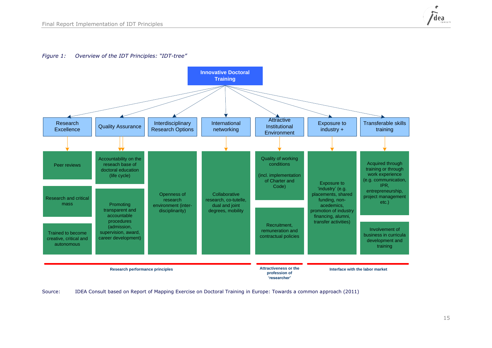

#### *Figure 1: Overview of the IDT Principles: "IDT-tree"*



<span id="page-14-0"></span>Source: IDEA Consult based on Report of Mapping Exercise on Doctoral Training in Europe: Towards a common approach (2011)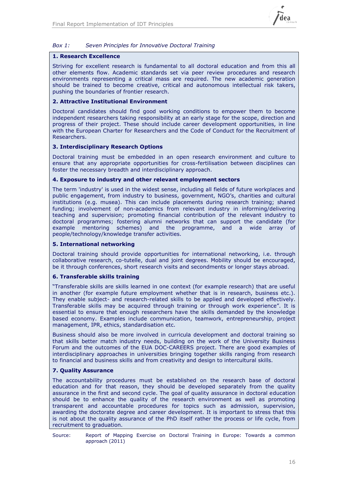

### *Box 1: Seven Principles for Innovative Doctoral Training*

### **1. Research Excellence**

Striving for excellent research is fundamental to all doctoral education and from this all other elements flow. Academic standards set via peer review procedures and research environments representing a critical mass are required. The new academic generation should be trained to become creative, critical and autonomous intellectual risk takers, pushing the boundaries of frontier research.

### **2. Attractive Institutional Environment**

Doctoral candidates should find good working conditions to empower them to become independent researchers taking responsibility at an early stage for the scope, direction and progress of their project. These should include career development opportunities, in line with the European Charter for Researchers and the Code of Conduct for the Recruitment of Researchers.

### **3. Interdisciplinary Research Options**

Doctoral training must be embedded in an open research environment and culture to ensure that any appropriate opportunities for cross-fertilisation between disciplines can foster the necessary breadth and interdisciplinary approach.

### **4. Exposure to industry and other relevant employment sectors**

The term 'industry' is used in the widest sense, including all fields of future workplaces and public engagement, from industry to business, government, NGO's, charities and cultural institutions (e.g. musea). This can include placements during research training; shared funding; involvement of non-academics from relevant industry in informing/delivering teaching and supervision; promoting financial contribution of the relevant industry to doctoral programmes; fostering alumni networks that can support the candidate (for example mentoring schemes) and the programme, and a wide array of people/technology/knowledge transfer activities.

### **5. International networking**

Doctoral training should provide opportunities for international networking, i.e. through collaborative research, co-tutelle, dual and joint degrees. Mobility should be encouraged, be it through conferences, short research visits and secondments or longer stays abroad.

### **6. Transferable skills training**

"Transferable skills are skills learned in one context (for example research) that are useful in another (for example future employment whether that is in research, business etc.). They enable subject- and research-related skills to be applied and developed effectively. Transferable skills may be acquired through training or through work experience". It is essential to ensure that enough researchers have the skills demanded by the knowledge based economy. Examples include communication, teamwork, entrepreneurship, project management, IPR, ethics, standardisation etc.

Business should also be more involved in curricula development and doctoral training so that skills better match industry needs, building on the work of the University Business Forum and the outcomes of the EUA DOC-CAREERS project. There are good examples of interdisciplinary approaches in universities bringing together skills ranging from research to financial and business skills and from creativity and design to intercultural skills.

### **7. Quality Assurance**

The accountability procedures must be established on the research base of doctoral education and for that reason, they should be developed separately from the quality assurance in the first and second cycle. The goal of quality assurance in doctoral education should be to enhance the quality of the research environment as well as promoting transparent and accountable procedures for topics such as admission, supervision, awarding the doctorate degree and career development. It is important to stress that this is not about the quality assurance of the PhD itself rather the process or life cycle, from recruitment to graduation.

Source: Report of Mapping Exercise on Doctoral Training in Europe: Towards a common approach (2011)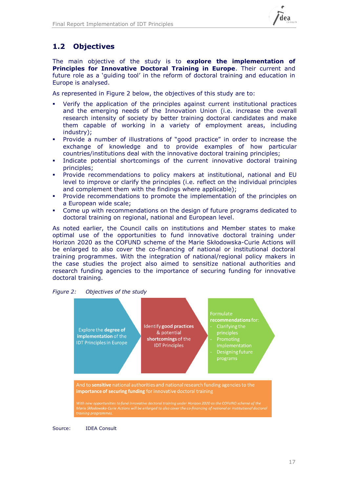

## **1.2 Objectives**

The main objective of the study is to **explore the implementation of Principles for Innovative Doctoral Training in Europe**. Their current and future role as a 'guiding tool' in the reform of doctoral training and education in Europe is analysed.

As represented in [Figure 2](#page-16-0) below, the objectives of this study are to:

- Verify the application of the principles against current institutional practices and the emerging needs of the Innovation Union (i.e. increase the overall research intensity of society by better training doctoral candidates and make them capable of working in a variety of employment areas, including industry);
- Provide a number of illustrations of "good practice" in order to increase the exchange of knowledge and to provide examples of how particular countries/institutions deal with the innovative doctoral training principles;
- Indicate potential shortcomings of the current innovative doctoral training principles;
- Provide recommendations to policy makers at institutional, national and EU level to improve or clarify the principles (i.e. reflect on the individual principles and complement them with the findings where applicable);
- Provide recommendations to promote the implementation of the principles on a European wide scale;
- Come up with recommendations on the design of future programs dedicated to doctoral training on regional, national and European level.

As noted earlier, the Council calls on institutions and Member states to make optimal use of the opportunities to fund innovative doctoral training under Horizon 2020 as the COFUND scheme of the Marie Skłodowska-Curie Actions will be enlarged to also cover the co-financing of national or institutional doctoral training programmes. With the integration of national/regional policy makers in the case studies the project also aimed to sensitize national authorities and research funding agencies to the importance of securing funding for innovative doctoral training.

<span id="page-16-0"></span>



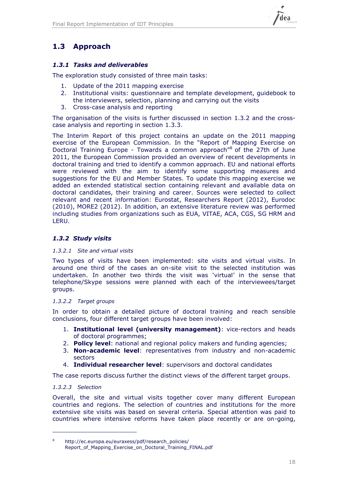## **1.3 Approach**

### *1.3.1 Tasks and deliverables*

The exploration study consisted of three main tasks:

- 1. Update of the 2011 mapping exercise
- 2. Institutional visits: questionnaire and template development, guidebook to the interviewers, selection, planning and carrying out the visits
- 3. Cross-case analysis and reporting

The organisation of the visits is further discussed in section [1.3.2](#page-17-0) and the crosscase analysis and reporting in section [1.3.3.](#page-19-0)

The Interim Report of this project contains an update on the 2011 mapping exercise of the European Commission. In the "Report of Mapping Exercise on Doctoral Training Europe - Towards a common approach<sup>"8</sup> of the 27th of June 2011, the European Commission provided an overview of recent developments in doctoral training and tried to identify a common approach. EU and national efforts were reviewed with the aim to identify some supporting measures and suggestions for the EU and Member States. To update this mapping exercise we added an extended statistical section containing relevant and available data on doctoral candidates, their training and career. Sources were selected to collect relevant and recent information: Eurostat, Researchers Report (2012), Eurodoc (2010), MORE2 (2012). In addition, an extensive literature review was performed including studies from organizations such as EUA, VITAE, ACA, CGS, SG HRM and LERU.

### <span id="page-17-0"></span>*1.3.2 Study visits*

### *1.3.2.1 Site and virtual visits*

Two types of visits have been implemented: site visits and virtual visits. In around one third of the cases an on-site visit to the selected institution was undertaken. In another two thirds the visit was 'virtual' in the sense that telephone/Skype sessions were planned with each of the interviewees/target groups.

### *1.3.2.2 Target groups*

In order to obtain a detailed picture of doctoral training and reach sensible conclusions, four different target groups have been involved:

- 1. **Institutional level (university management)**: vice-rectors and heads of doctoral programmes;
- 2. **Policy level**: national and regional policy makers and funding agencies;
- 3. **Non-academic level**: representatives from industry and non-academic sectors
- 4. **Individual researcher level**: supervisors and doctoral candidates

The case reports discuss further the distinct views of the different target groups.

### *1.3.2.3 Selection*

-

Overall, the site and virtual visits together cover many different European countries and regions. The selection of countries and institutions for the more extensive site visits was based on several criteria. Special attention was paid to countries where intensive reforms have taken place recently or are on-going,

<sup>8</sup> http://ec.europa.eu/euraxess/pdf/research\_policies/ [Report\\_of\\_Mapping\\_Exercise\\_on\\_Doctoral\\_Training\\_FINAL.pdf](http://ec.europa.eu/euraxess/pdf/research_policies/%20Report_of_Mapping_Exercise_on_Doctoral_Training_FINAL.pdf)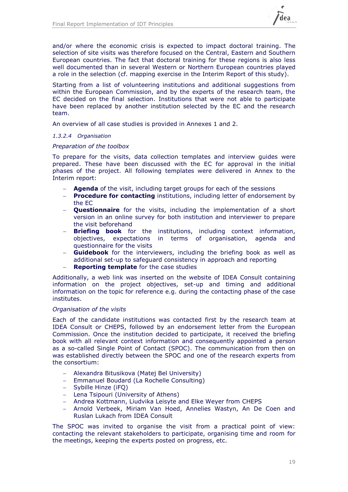

and/or where the economic crisis is expected to impact doctoral training. The selection of site visits was therefore focused on the Central, Eastern and Southern European countries. The fact that doctoral training for these regions is also less well documented than in several Western or Northern European countries played a role in the selection (cf. mapping exercise in the Interim Report of this study).

Starting from a list of volunteering institutions and additional suggestions from within the European Commission, and by the experts of the research team, the EC decided on the final selection. Institutions that were not able to participate have been replaced by another institution selected by the EC and the research team.

An overview of all case studies is provided in Annexes 1 and 2.

### *1.3.2.4 Organisation*

### *Preparation of the toolbox*

To prepare for the visits, data collection templates and interview guides were prepared. These have been discussed with the EC for approval in the initial phases of the project. All following templates were delivered in Annex to the Interim report:

- **Agenda** of the visit, including target groups for each of the sessions
- **Procedure for contacting** institutions, including letter of endorsement by the EC
- **Questionnaire** for the visits, including the implementation of a short version in an online survey for both institution and interviewer to prepare the visit beforehand
- **Briefing book** for the institutions, including context information, objectives, expectations in terms of organisation, agenda and questionnaire for the visits
- **Guidebook** for the interviewers, including the briefing book as well as additional set-up to safeguard consistency in approach and reporting
- **Reporting template** for the case studies

Additionally, a web link was inserted on the website of IDEA Consult containing information on the project objectives, set-up and timing and additional information on the topic for reference e.g. during the contacting phase of the case institutes.

### *Organisation of the visits*

Each of the candidate institutions was contacted first by the research team at IDEA Consult or CHEPS, followed by an endorsement letter from the European Commission. Once the institution decided to participate, it received the briefing book with all relevant context information and consequently appointed a person as a so-called Single Point of Contact (SPOC). The communication from then on was established directly between the SPOC and one of the research experts from the consortium:

- Alexandra Bitusikova (Matej Bel University)
- Emmanuel Boudard (La Rochelle Consulting)
- Sybille Hinze (iFQ)
- Lena Tsipouri (University of Athens)
- Andrea Kottmann, Liudvika Leisyte and Elke Weyer from CHEPS
- Arnold Verbeek, Miriam Van Hoed, Annelies Wastyn, An De Coen and Ruslan Lukach from IDEA Consult

The SPOC was invited to organise the visit from a practical point of view: contacting the relevant stakeholders to participate, organising time and room for the meetings, keeping the experts posted on progress, etc.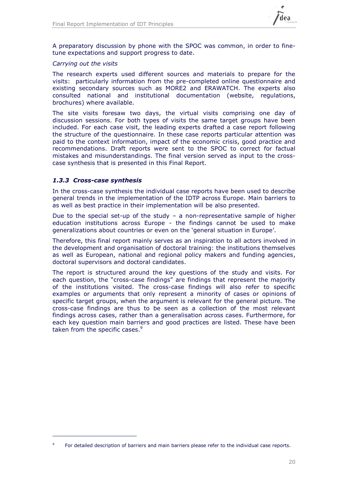

A preparatory discussion by phone with the SPOC was common, in order to finetune expectations and support progress to date.

### *Carrying out the visits*

The research experts used different sources and materials to prepare for the visits: particularly information from the pre-completed online questionnaire and existing secondary sources such as MORE2 and ERAWATCH. The experts also consulted national and institutional documentation (website, regulations, brochures) where available.

The site visits foresaw two days, the virtual visits comprising one day of discussion sessions. For both types of visits the same target groups have been included. For each case visit, the leading experts drafted a case report following the structure of the questionnaire. In these case reports particular attention was paid to the context information, impact of the economic crisis, good practice and recommendations. Draft reports were sent to the SPOC to correct for factual mistakes and misunderstandings. The final version served as input to the crosscase synthesis that is presented in this Final Report.

### <span id="page-19-0"></span>*1.3.3 Cross-case synthesis*

-

In the cross-case synthesis the individual case reports have been used to describe general trends in the implementation of the IDTP across Europe. Main barriers to as well as best practice in their implementation will be also presented.

Due to the special set-up of the study – a non-representative sample of higher education institutions across Europe - the findings cannot be used to make generalizations about countries or even on the 'general situation in Europe'.

Therefore, this final report mainly serves as an inspiration to all actors involved in the development and organisation of doctoral training: the institutions themselves as well as European, national and regional policy makers and funding agencies, doctoral supervisors and doctoral candidates.

The report is structured around the key questions of the study and visits. For each question, the "cross-case findings" are findings that represent the majority of the institutions visited. The cross-case findings will also refer to specific examples or arguments that only represent a minority of cases or opinions of specific target groups, when the argument is relevant for the general picture. The cross-case findings are thus to be seen as a collection of the most relevant findings across cases, rather than a generalisation across cases. Furthermore, for each key question main barriers and good practices are listed. These have been taken from the specific cases.<sup>9</sup>

<sup>9</sup> For detailed description of barriers and main barriers please refer to the individual case reports.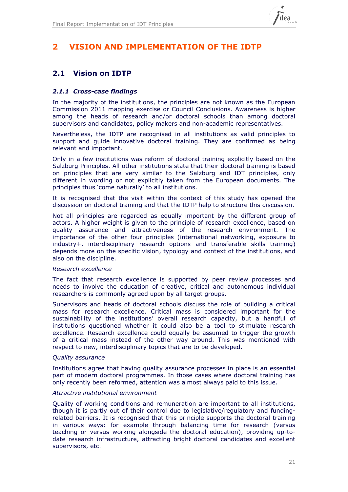

## **2 VISION AND IMPLEMENTATION OF THE IDTP**

## **2.1 Vision on IDTP**

### *2.1.1 Cross-case findings*

In the majority of the institutions, the principles are not known as the European Commission 2011 mapping exercise or Council Conclusions. Awareness is higher among the heads of research and/or doctoral schools than among doctoral supervisors and candidates, policy makers and non-academic representatives.

Nevertheless, the IDTP are recognised in all institutions as valid principles to support and guide innovative doctoral training. They are confirmed as being relevant and important.

Only in a few institutions was reform of doctoral training explicitly based on the Salzburg Principles. All other institutions state that their doctoral training is based on principles that are very similar to the Salzburg and IDT principles, only different in wording or not explicitly taken from the European documents. The principles thus 'come naturally' to all institutions.

It is recognised that the visit within the context of this study has opened the discussion on doctoral training and that the IDTP help to structure this discussion.

Not all principles are regarded as equally important by the different group of actors. A higher weight is given to the principle of research excellence, based on quality assurance and attractiveness of the research environment. The importance of the other four principles (international networking, exposure to industry+, interdisciplinary research options and transferable skills training) depends more on the specific vision, typology and context of the institutions, and also on the discipline.

### *Research excellence*

The fact that research excellence is supported by peer review processes and needs to involve the education of creative, critical and autonomous individual researchers is commonly agreed upon by all target groups.

Supervisors and heads of doctoral schools discuss the role of building a critical mass for research excellence. Critical mass is considered important for the sustainability of the institutions' overall research capacity, but a handful of institutions questioned whether it could also be a tool to stimulate research excellence. Research excellence could equally be assumed to trigger the growth of a critical mass instead of the other way around. This was mentioned with respect to new, interdisciplinary topics that are to be developed.

### *Quality assurance*

Institutions agree that having quality assurance processes in place is an essential part of modern doctoral programmes. In those cases where doctoral training has only recently been reformed, attention was almost always paid to this issue.

### *Attractive institutional environment*

Quality of working conditions and remuneration are important to all institutions, though it is partly out of their control due to legislative/regulatory and fundingrelated barriers. It is recognised that this principle supports the doctoral training in various ways: for example through balancing time for research (versus teaching or versus working alongside the doctoral education), providing up-todate research infrastructure, attracting bright doctoral candidates and excellent supervisors, etc.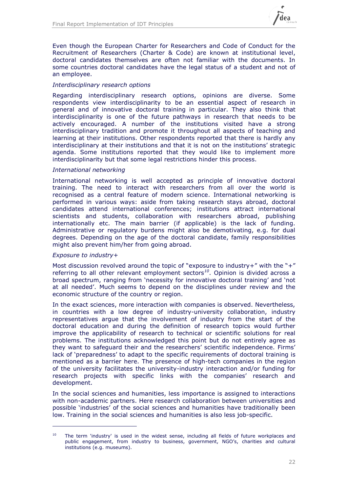

Even though the European Charter for Researchers and Code of Conduct for the Recruitment of Researchers (Charter & Code) are known at institutional level, doctoral candidates themselves are often not familiar with the documents. In some countries doctoral candidates have the legal status of a student and not of an employee.

### *Interdisciplinary research options*

Regarding interdisciplinary research options, opinions are diverse. Some respondents view interdisciplinarity to be an essential aspect of research in general and of innovative doctoral training in particular. They also think that interdisciplinarity is one of the future pathways in research that needs to be actively encouraged. A number of the institutions visited have a strong interdisciplinary tradition and promote it throughout all aspects of teaching and learning at their institutions. Other respondents reported that there is hardly any interdisciplinary at their institutions and that it is not on the institutions' strategic agenda. Some institutions reported that they would like to implement more interdisciplinarity but that some legal restrictions hinder this process.

### *International networking*

International networking is well accepted as principle of innovative doctoral training. The need to interact with researchers from all over the world is recognised as a central feature of modern science. International networking is performed in various ways: aside from taking research stays abroad, doctoral candidates attend international conferences; institutions attract international scientists and students, collaboration with researchers abroad, publishing internationally etc. The main barrier (if applicable) is the lack of funding. Administrative or regulatory burdens might also be demotivating, e.g. for dual degrees. Depending on the age of the doctoral candidate, family responsibilities might also prevent him/her from going abroad.

### *Exposure to industry+*

-

Most discussion revolved around the topic of "exposure to industry+" with the "+" referring to all other relevant employment sectors*<sup>10</sup>* . Opinion is divided across a broad spectrum, ranging from 'necessity for innovative doctoral training' and 'not at all needed'. Much seems to depend on the disciplines under review and the economic structure of the country or region.

In the exact sciences, more interaction with companies is observed. Nevertheless, in countries with a low degree of industry-university collaboration, industry representatives argue that the involvement of industry from the start of the doctoral education and during the definition of research topics would further improve the applicability of research to technical or scientific solutions for real problems. The institutions acknowledged this point but do not entirely agree as they want to safeguard their and the researchers' scientific independence. Firms' lack of 'preparedness' to adapt to the specific requirements of doctoral training is mentioned as a barrier here. The presence of high-tech companies in the region of the university facilitates the university-industry interaction and/or funding for research projects with specific links with the companies' research and development.

In the social sciences and humanities, less importance is assigned to interactions with non-academic partners. Here research collaboration between universities and possible 'industries' of the social sciences and humanities have traditionally been low. Training in the social sciences and humanities is also less job-specific.

<sup>&</sup>lt;sup>10</sup> The term 'industry' is used in the widest sense, including all fields of future workplaces and public engagement, from industry to business, government, NGO's, charities and cultural institutions (e.g. museums).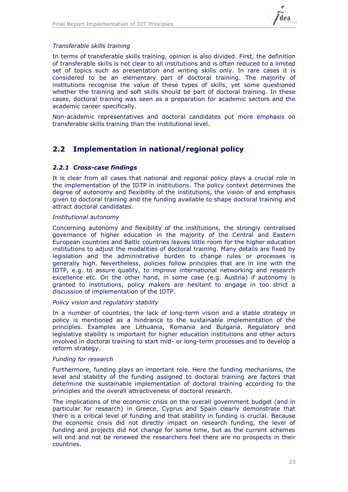

### *Transferable skills training*

In terms of transferable skills training, opinion is also divided. First, the definition of transferable skills is not clear to all institutions and is often reduced to a limited set of topics such as presentation and writing skills only. In rare cases it is considered to be an elementary part of doctoral training. The majority of institutions recognise the value of these types of skills, yet some questioned whether the training and soft skills should be part of doctoral training. In these cases, doctoral training was seen as a preparation for academic sectors and the academic career specifically.

Non-academic representatives and doctoral candidates put more emphasis on transferable skills training than the institutional level.

## **2.2 Implementation in national/regional policy**

### *2.2.1 Cross-case findings*

It is clear from all cases that national and regional policy plays a crucial role in the implementation of the IDTP in institutions. The policy context determines the degree of autonomy and flexibility of the institutions, the vision of and emphasis given to doctoral training and the funding available to shape doctoral training and attract doctoral candidates.

### *Institutional autonomy*

Concerning autonomy and flexibility of the institutions, the strongly centralised governance of higher education in the majority of the Central and Eastern European countries and Baltic countries leaves little room for the higher education institutions to adjust the modalities of doctoral training. Many details are fixed by legislation and the administrative burden to change rules or processes is generally high. Nevertheless, policies follow principles that are in line with the IDTP, e.g. to assure quality, to improve international networking and research excellence etc. On the other hand, in some case (e.g. Austria) if autonomy is granted to institutions, policy makers are hesitant to engage in too strict a discussion of implementation of the IDTP.

### *Policy vision and regulatory stability*

In a number of countries, the lack of long-term vision and a stable strategy in policy is mentioned as a hindrance to the sustainable implementation of the principles. Examples are Lithuania, Romania and Bulgaria. Regulatory and legislative stability is important for higher education institutions and other actors involved in doctoral training to start mid- or long-term processes and to develop a reform strategy.

### *Funding for research*

Furthermore, funding plays an important role. Here the funding mechanisms, the level and stability of the funding assigned to doctoral training are factors that determine the sustainable implementation of doctoral training according to the principles and the overall attractiveness of doctoral research.

The implications of the economic crisis on the overall government budget (and in particular for research) in Greece, Cyprus and Spain clearly demonstrate that there is a critical level of funding and that stability in funding is crucial. Because the economic crisis did not directly impact on research funding, the level of funding and projects did not change for some time, but as the current schemes will end and not be renewed the researchers feel there are no prospects in their countries.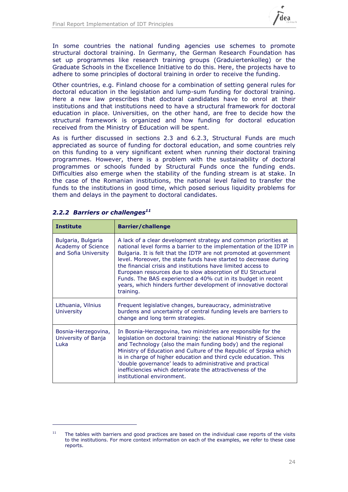

In some countries the national funding agencies use schemes to promote structural doctoral training. In Germany, the German Research Foundation has set up programmes like research training groups (Graduiertenkolleg) or the Graduate Schools in the Excellence Initiative to do this. Here, the projects have to adhere to some principles of doctoral training in order to receive the funding.

Other countries, e.g. Finland choose for a combination of setting general rules for doctoral education in the legislation and lump-sum funding for doctoral training. Here a new law prescribes that doctoral candidates have to enrol at their institutions and that institutions need to have a structural framework for doctoral education in place. Universities, on the other hand, are free to decide how the structural framework is organized and how funding for doctoral education received from the Ministry of Education will be spent.

As is further discussed in sections [2.3](#page-24-0) and [6.2.3,](#page-50-0) Structural Funds are much appreciated as source of funding for doctoral education, and some countries rely on this funding to a very significant extent when running their doctoral training programmes. However, there is a problem with the sustainability of doctoral programmes or schools funded by Structural Funds once the funding ends. Difficulties also emerge when the stability of the funding stream is at stake. In the case of the Romanian institutions, the national level failed to transfer the funds to the institutions in good time, which posed serious liquidity problems for them and delays in the payment to doctoral candidates.

| <b>Institute</b>                                                 | <b>Barrier/challenge</b>                                                                                                                                                                                                                                                                                                                                                                                                                                                                                                                                      |
|------------------------------------------------------------------|---------------------------------------------------------------------------------------------------------------------------------------------------------------------------------------------------------------------------------------------------------------------------------------------------------------------------------------------------------------------------------------------------------------------------------------------------------------------------------------------------------------------------------------------------------------|
| Bulgaria, Bulgaria<br>Academy of Science<br>and Sofia University | A lack of a clear development strategy and common priorities at<br>national level forms a barrier to the implementation of the IDTP in<br>Bulgaria. It is felt that the IDTP are not promoted at government<br>level. Moreover, the state funds have started to decrease during<br>the financial crisis and institutions have limited access to<br>European resources due to slow absorption of EU Structural<br>Funds. The BAS experienced a 40% cut in its budget in recent<br>years, which hinders further development of innovative doctoral<br>training. |
| Lithuania, Vilnius<br><b>University</b>                          | Frequent legislative changes, bureaucracy, administrative<br>burdens and uncertainty of central funding levels are barriers to<br>change and long term strategies.                                                                                                                                                                                                                                                                                                                                                                                            |
| Bosnia-Herzegovina,<br>University of Banja<br>Luka               | In Bosnia-Herzegovina, two ministries are responsible for the<br>legislation on doctoral training: the national Ministry of Science<br>and Technology (also the main funding body) and the regional<br>Ministry of Education and Culture of the Republic of Srpska which<br>is in charge of higher education and third cycle education. This<br>'double governance' leads to administrative and practical<br>inefficiencies which deteriorate the attractiveness of the<br>institutional environment.                                                         |

### *2.2.2 Barriers or challenges<sup>11</sup>*

-

The tables with barriers and good practices are based on the individual case reports of the visits to the institutions. For more context information on each of the examples, we refer to these case reports.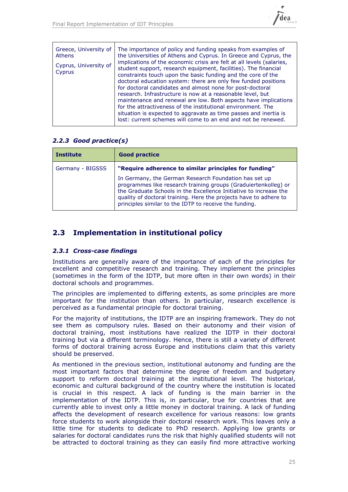

| Greece, University of | The importance of policy and funding speaks from examples of                                                                                                                                                                                                                                                                                                                                                                                                                                                                                                                                         |
|-----------------------|------------------------------------------------------------------------------------------------------------------------------------------------------------------------------------------------------------------------------------------------------------------------------------------------------------------------------------------------------------------------------------------------------------------------------------------------------------------------------------------------------------------------------------------------------------------------------------------------------|
| <b>Athens</b>         | the Universities of Athens and Cyprus. In Greece and Cyprus, the                                                                                                                                                                                                                                                                                                                                                                                                                                                                                                                                     |
| Cyprus, University of | implications of the economic crisis are felt at all levels (salaries,                                                                                                                                                                                                                                                                                                                                                                                                                                                                                                                                |
| Cyprus                | student support, research equipment, facilities). The financial<br>constraints touch upon the basic funding and the core of the<br>doctoral education system: there are only few funded positions<br>for doctoral candidates and almost none for post-doctoral<br>research. Infrastructure is now at a reasonable level, but<br>maintenance and renewal are low. Both aspects have implications<br>for the attractiveness of the institutional environment. The<br>situation is expected to aggravate as time passes and inertia is<br>lost: current schemes will come to an end and not be renewed. |

### *2.2.3 Good practice(s)*

| <b>Institute</b> | <b>Good practice</b>                                                                                                                                                                                                                                                                                                         |
|------------------|------------------------------------------------------------------------------------------------------------------------------------------------------------------------------------------------------------------------------------------------------------------------------------------------------------------------------|
| Germany - BIGSSS | "Require adherence to similar principles for funding"                                                                                                                                                                                                                                                                        |
|                  | In Germany, the German Research Foundation has set up<br>programmes like research training groups (Graduiertenkolleg) or<br>the Graduate Schools in the Excellence Initiative to increase the<br>quality of doctoral training. Here the projects have to adhere to<br>principles similar to the IDTP to receive the funding. |

## <span id="page-24-0"></span>**2.3 Implementation in institutional policy**

### *2.3.1 Cross-case findings*

Institutions are generally aware of the importance of each of the principles for excellent and competitive research and training. They implement the principles (sometimes in the form of the IDTP, but more often in their own words) in their doctoral schools and programmes.

The principles are implemented to differing extents, as some principles are more important for the institution than others. In particular, research excellence is perceived as a fundamental principle for doctoral training.

For the majority of institutions, the IDTP are an inspiring framework. They do not see them as compulsory rules. Based on their autonomy and their vision of doctoral training, most institutions have realized the IDTP in their doctoral training but via a different terminology. Hence, there is still a variety of different forms of doctoral training across Europe and institutions claim that this variety should be preserved.

As mentioned in the previous section, institutional autonomy and funding are the most important factors that determine the degree of freedom and budgetary support to reform doctoral training at the institutional level. The historical, economic and cultural background of the country where the institution is located is crucial in this respect. A lack of funding is the main barrier in the implementation of the IDTP. This is, in particular, true for countries that are currently able to invest only a little money in doctoral training. A lack of funding affects the development of research excellence for various reasons: low grants force students to work alongside their doctoral research work. This leaves only a little time for students to dedicate to PhD research. Applying low grants or salaries for doctoral candidates runs the risk that highly qualified students will not be attracted to doctoral training as they can easily find more attractive working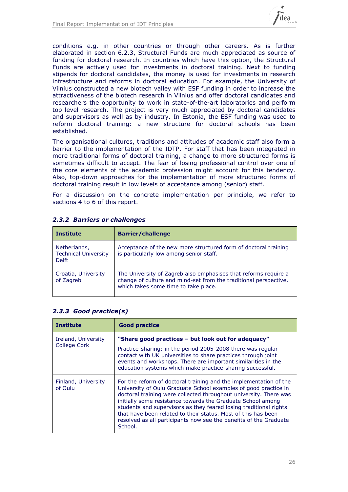

conditions e.g. in other countries or through other careers. As is further elaborated in section [6.2.3,](#page-50-0) Structural Funds are much appreciated as source of funding for doctoral research. In countries which have this option, the Structural Funds are actively used for investments in doctoral training. Next to funding stipends for doctoral candidates, the money is used for investments in research infrastructure and reforms in doctoral education. For example, the University of Vilnius constructed a new biotech valley with ESF funding in order to increase the attractiveness of the biotech research in Vilnius and offer doctoral candidates and researchers the opportunity to work in state-of-the-art laboratories and perform top level research. The project is very much appreciated by doctoral candidates and supervisors as well as by industry. In Estonia, the ESF funding was used to reform doctoral training: a new structure for doctoral schools has been established.

The organisational cultures, traditions and attitudes of academic staff also form a barrier to the implementation of the IDTP. For staff that has been integrated in more traditional forms of doctoral training, a change to more structured forms is sometimes difficult to accept. The fear of losing professional control over one of the core elements of the academic profession might account for this tendency. Also, top-down approaches for the implementation of more structured forms of doctoral training result in low levels of acceptance among (senior) staff.

For a discussion on the concrete implementation per principle, we refer to sections [4](#page-30-0) to [6](#page-47-0) of this report.

| <b>Institute</b>                                            | <b>Barrier/challenge</b>                                                                                                                                                    |
|-------------------------------------------------------------|-----------------------------------------------------------------------------------------------------------------------------------------------------------------------------|
| Netherlands,<br><b>Technical University</b><br><b>Delft</b> | Acceptance of the new more structured form of doctoral training<br>is particularly low among senior staff.                                                                  |
| Croatia, University<br>of Zagreb                            | The University of Zagreb also emphasises that reforms require a<br>change of culture and mind-set from the traditional perspective,<br>which takes some time to take place. |

### *2.3.2 Barriers or challenges*

| <b>Institute</b>                    | <b>Good practice</b>                                                                                                                                                                                                                                                                                                                                                                                                                                                                           |
|-------------------------------------|------------------------------------------------------------------------------------------------------------------------------------------------------------------------------------------------------------------------------------------------------------------------------------------------------------------------------------------------------------------------------------------------------------------------------------------------------------------------------------------------|
| Ireland, University<br>College Cork | "Share good practices – but look out for adequacy"<br>Practice-sharing: in the period 2005-2008 there was regular<br>contact with UK universities to share practices through joint<br>events and workshops. There are important similarities in the<br>education systems which make practice-sharing successful.                                                                                                                                                                               |
| Finland, University<br>of Oulu      | For the reform of doctoral training and the implementation of the<br>University of Oulu Graduate School examples of good practice in<br>doctoral training were collected throughout university. There was<br>initially some resistance towards the Graduate School among<br>students and supervisors as they feared losing traditional rights<br>that have been related to their status. Most of this has been<br>resolved as all participants now see the benefits of the Graduate<br>School. |

### *2.3.3 Good practice(s)*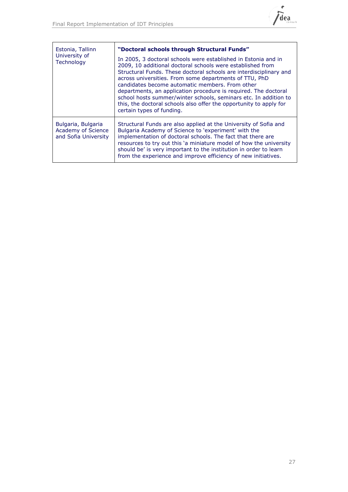

| Estonia, Tallinn<br>University of<br>Technology                  | "Doctoral schools through Structural Funds"<br>In 2005, 3 doctoral schools were established in Estonia and in<br>2009, 10 additional doctoral schools were established from<br>Structural Funds. These doctoral schools are interdisciplinary and<br>across universities. From some departments of TTU, PhD<br>candidates become automatic members. From other<br>departments, an application procedure is required. The doctoral<br>school hosts summer/winter schools, seminars etc. In addition to<br>this, the doctoral schools also offer the opportunity to apply for<br>certain types of funding. |
|------------------------------------------------------------------|----------------------------------------------------------------------------------------------------------------------------------------------------------------------------------------------------------------------------------------------------------------------------------------------------------------------------------------------------------------------------------------------------------------------------------------------------------------------------------------------------------------------------------------------------------------------------------------------------------|
| Bulgaria, Bulgaria<br>Academy of Science<br>and Sofia University | Structural Funds are also applied at the University of Sofia and<br>Bulgaria Academy of Science to 'experiment' with the<br>implementation of doctoral schools. The fact that there are<br>resources to try out this 'a miniature model of how the university<br>should be' is very important to the institution in order to learn<br>from the experience and improve efficiency of new initiatives.                                                                                                                                                                                                     |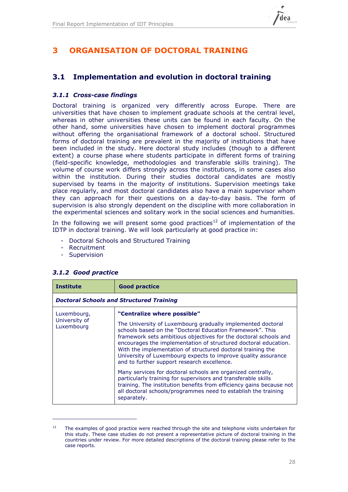

## <span id="page-27-1"></span>**3 ORGANISATION OF DOCTORAL TRAINING**

## **3.1 Implementation and evolution in doctoral training**

### *3.1.1 Cross-case findings*

Doctoral training is organized very differently across Europe. There are universities that have chosen to implement graduate schools at the central level, whereas in other universities these units can be found in each faculty. On the other hand, some universities have chosen to implement doctoral programmes without offering the organisational framework of a doctoral school. Structured forms of doctoral training are prevalent in the majority of institutions that have been included in the study. Here doctoral study includes (though to a different extent) a course phase where students participate in different forms of training (field-specific knowledge, methodologies and transferable skills training). The volume of course work differs strongly across the institutions, in some cases also within the institution. During their studies doctoral candidates are mostly supervised by teams in the majority of institutions. Supervision meetings take place regularly, and most doctoral candidates also have a main supervisor whom they can approach for their questions on a day-to-day basis. The form of supervision is also strongly dependent on the discipline with more collaboration in the experimental sciences and solitary work in the social sciences and humanities.

In the following we will present some good practices<sup>12</sup> of implementation of the IDTP in doctoral training. We will look particularly at good practice in:

- Doctoral Schools and Structured Training
- Recruitment
- Supervision

| <b>Institute</b>                           | <b>Good practice</b>                                                                                                                                                                                                                                                                                                                                                                                                                                                                                                                                                                                                                                                                                                                                                   |  |  |
|--------------------------------------------|------------------------------------------------------------------------------------------------------------------------------------------------------------------------------------------------------------------------------------------------------------------------------------------------------------------------------------------------------------------------------------------------------------------------------------------------------------------------------------------------------------------------------------------------------------------------------------------------------------------------------------------------------------------------------------------------------------------------------------------------------------------------|--|--|
|                                            | <b>Doctoral Schools and Structured Training</b>                                                                                                                                                                                                                                                                                                                                                                                                                                                                                                                                                                                                                                                                                                                        |  |  |
| Luxembourg,<br>University of<br>Luxembourg | "Centralize where possible"<br>The University of Luxembourg gradually implemented doctoral<br>schools based on the "Doctoral Education Framework". This<br>framework sets ambitious objectives for the doctoral schools and<br>encourages the implementation of structured doctoral education.<br>With the implementation of structured doctoral training the<br>University of Luxembourg expects to improve quality assurance<br>and to further support research excellence.<br>Many services for doctoral schools are organized centrally,<br>particularly training for supervisors and transferable skills<br>training. The institution benefits from efficiency gains because not<br>all doctoral schools/programmes need to establish the training<br>separately. |  |  |

### <span id="page-27-0"></span>*3.1.2 Good practice*

-

 $12$  The examples of good practice were reached through the site and telephone visits undertaken for this study. These case studies do not present a representative picture of doctoral training in the countries under review. For more detailed descriptions of the doctoral training please refer to the case reports.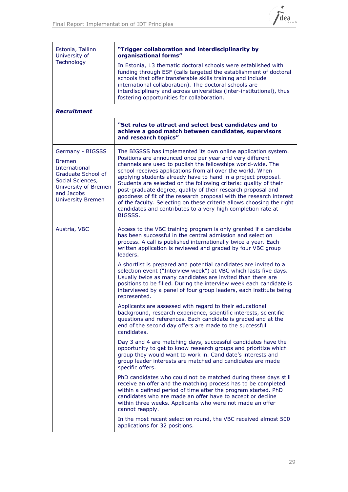

| Estonia, Tallinn<br>University of                                                                                                                                     | "Trigger collaboration and interdisciplinarity by<br>organisational forms"                                                                                                                                                                                                                                                                                                                                                                                                                                                                                                                                                                                                               |
|-----------------------------------------------------------------------------------------------------------------------------------------------------------------------|------------------------------------------------------------------------------------------------------------------------------------------------------------------------------------------------------------------------------------------------------------------------------------------------------------------------------------------------------------------------------------------------------------------------------------------------------------------------------------------------------------------------------------------------------------------------------------------------------------------------------------------------------------------------------------------|
| Technology                                                                                                                                                            | In Estonia, 13 thematic doctoral schools were established with<br>funding through ESF (calls targeted the establishment of doctoral<br>schools that offer transferable skills training and include<br>international collaboration). The doctoral schools are<br>interdisciplinary and across universities (inter-institutional), thus<br>fostering opportunities for collaboration.                                                                                                                                                                                                                                                                                                      |
| <b>Recruitment</b>                                                                                                                                                    |                                                                                                                                                                                                                                                                                                                                                                                                                                                                                                                                                                                                                                                                                          |
|                                                                                                                                                                       | "Set rules to attract and select best candidates and to<br>achieve a good match between candidates, supervisors<br>and research topics"                                                                                                                                                                                                                                                                                                                                                                                                                                                                                                                                                  |
| Germany - BIGSSS<br><b>Bremen</b><br><b>International</b><br>Graduate School of<br>Social Sciences,<br>University of Bremen<br>and Jacobs<br><b>University Bremen</b> | The BIGSSS has implemented its own online application system.<br>Positions are announced once per year and very different<br>channels are used to publish the fellowships world-wide. The<br>school receives applications from all over the world. When<br>applying students already have to hand in a project proposal.<br>Students are selected on the following criteria: quality of their<br>post-graduate degree, quality of their research proposal and<br>goodness of fit of the research proposal with the research interest<br>of the faculty. Selecting on these criteria allows choosing the right<br>candidates and contributes to a very high completion rate at<br>BIGSSS. |
| Austria, VBC                                                                                                                                                          | Access to the VBC training program is only granted if a candidate<br>has been successful in the central admission and selection<br>process. A call is published internationally twice a year. Each<br>written application is reviewed and graded by four VBC group<br>leaders.                                                                                                                                                                                                                                                                                                                                                                                                           |
|                                                                                                                                                                       | A shortlist is prepared and potential candidates are invited to a<br>selection event ("Interview week") at VBC which lasts five days.<br>Usually twice as many candidates are invited than there are<br>positions to be filled. During the interview week each candidate is<br>interviewed by a panel of four group leaders, each institute being<br>represented.                                                                                                                                                                                                                                                                                                                        |
|                                                                                                                                                                       | Applicants are assessed with regard to their educational<br>background, research experience, scientific interests, scientific<br>questions and references. Each candidate is graded and at the<br>end of the second day offers are made to the successful<br>candidates.                                                                                                                                                                                                                                                                                                                                                                                                                 |
|                                                                                                                                                                       | Day 3 and 4 are matching days, successful candidates have the<br>opportunity to get to know research groups and prioritize which<br>group they would want to work in. Candidate's interests and<br>group leader interests are matched and candidates are made<br>specific offers.                                                                                                                                                                                                                                                                                                                                                                                                        |
|                                                                                                                                                                       | PhD candidates who could not be matched during these days still<br>receive an offer and the matching process has to be completed<br>within a defined period of time after the program started. PhD<br>candidates who are made an offer have to accept or decline<br>within three weeks. Applicants who were not made an offer<br>cannot reapply.                                                                                                                                                                                                                                                                                                                                         |
|                                                                                                                                                                       | In the most recent selection round, the VBC received almost 500<br>applications for 32 positions.                                                                                                                                                                                                                                                                                                                                                                                                                                                                                                                                                                                        |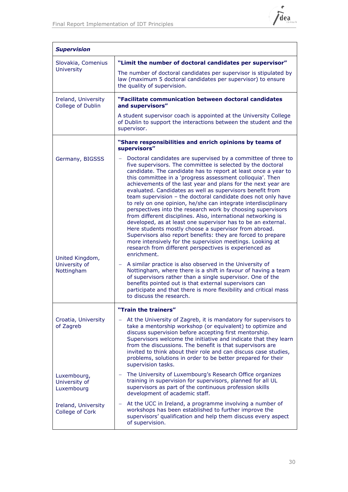

| <b>Supervision</b>                         |                                                                                                                                                                                                                                                                                                                                                                                                                                                                                                                                                                                                                                                                                                                                                                                                                                                                                                                                                                                            |
|--------------------------------------------|--------------------------------------------------------------------------------------------------------------------------------------------------------------------------------------------------------------------------------------------------------------------------------------------------------------------------------------------------------------------------------------------------------------------------------------------------------------------------------------------------------------------------------------------------------------------------------------------------------------------------------------------------------------------------------------------------------------------------------------------------------------------------------------------------------------------------------------------------------------------------------------------------------------------------------------------------------------------------------------------|
| Slovakia, Comenius                         | "Limit the number of doctoral candidates per supervisor"                                                                                                                                                                                                                                                                                                                                                                                                                                                                                                                                                                                                                                                                                                                                                                                                                                                                                                                                   |
| <b>University</b>                          | The number of doctoral candidates per supervisor is stipulated by<br>law (maximum 5 doctoral candidates per supervisor) to ensure<br>the quality of supervision.                                                                                                                                                                                                                                                                                                                                                                                                                                                                                                                                                                                                                                                                                                                                                                                                                           |
| Ireland, University<br>College of Dublin   | "Facilitate communication between doctoral candidates<br>and supervisors"                                                                                                                                                                                                                                                                                                                                                                                                                                                                                                                                                                                                                                                                                                                                                                                                                                                                                                                  |
|                                            | A student supervisor coach is appointed at the University College<br>of Dublin to support the interactions between the student and the<br>supervisor.                                                                                                                                                                                                                                                                                                                                                                                                                                                                                                                                                                                                                                                                                                                                                                                                                                      |
|                                            | "Share responsibilities and enrich opinions by teams of<br>supervisors"                                                                                                                                                                                                                                                                                                                                                                                                                                                                                                                                                                                                                                                                                                                                                                                                                                                                                                                    |
| Germany, BIGSSS<br>United Kingdom,         | Doctoral candidates are supervised by a committee of three to<br>five supervisors. The committee is selected by the doctoral<br>candidate. The candidate has to report at least once a year to<br>this committee in a 'progress assessment colloquia'. Then<br>achievements of the last year and plans for the next year are<br>evaluated. Candidates as well as supervisors benefit from<br>team supervision - the doctoral candidate does not only have<br>to rely on one opinion, he/she can integrate interdisciplinary<br>perspectives into the research work by choosing supervisors<br>from different disciplines. Also, international networking is<br>developed, as at least one supervisor has to be an external.<br>Here students mostly choose a supervisor from abroad.<br>Supervisors also report benefits: they are forced to prepare<br>more intensively for the supervision meetings. Looking at<br>research from different perspectives is experienced as<br>enrichment. |
| University of<br>Nottingham                | A similar practice is also observed in the University of<br>$\overline{\phantom{0}}$<br>Nottingham, where there is a shift in favour of having a team<br>of supervisors rather than a single supervisor. One of the<br>benefits pointed out is that external supervisors can<br>participate and that there is more flexibility and critical mass<br>to discuss the research.                                                                                                                                                                                                                                                                                                                                                                                                                                                                                                                                                                                                               |
|                                            | "Train the trainers"                                                                                                                                                                                                                                                                                                                                                                                                                                                                                                                                                                                                                                                                                                                                                                                                                                                                                                                                                                       |
| Croatia, University<br>of Zagreb           | At the University of Zagreb, it is mandatory for supervisors to<br>take a mentorship workshop (or equivalent) to optimize and<br>discuss supervision before accepting first mentorship.<br>Supervisors welcome the initiative and indicate that they learn<br>from the discussions. The benefit is that supervisors are<br>invited to think about their role and can discuss case studies,<br>problems, solutions in order to be better prepared for their<br>supervision tasks.                                                                                                                                                                                                                                                                                                                                                                                                                                                                                                           |
| Luxembourg,<br>University of<br>Luxembourg | The University of Luxembourg's Research Office organizes<br>training in supervision for supervisors, planned for all UL<br>supervisors as part of the continuous profession skills<br>development of academic staff.                                                                                                                                                                                                                                                                                                                                                                                                                                                                                                                                                                                                                                                                                                                                                                       |
| Ireland, University<br>College of Cork     | At the UCC in Ireland, a programme involving a number of<br>-<br>workshops has been established to further improve the<br>supervisors' qualification and help them discuss every aspect<br>of supervision.                                                                                                                                                                                                                                                                                                                                                                                                                                                                                                                                                                                                                                                                                                                                                                                 |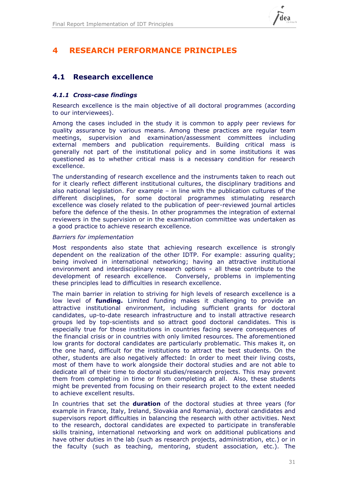

## <span id="page-30-0"></span>**4 RESEARCH PERFORMANCE PRINCIPLES**

## **4.1 Research excellence**

### *4.1.1 Cross-case findings*

Research excellence is the main objective of all doctoral programmes (according to our interviewees).

Among the cases included in the study it is common to apply peer reviews for quality assurance by various means. Among these practices are regular team meetings, supervision and examination/assessment committees including external members and publication requirements. Building critical mass is generally not part of the institutional policy and in some institutions it was questioned as to whether critical mass is a necessary condition for research excellence.

The understanding of research excellence and the instruments taken to reach out for it clearly reflect different institutional cultures, the disciplinary traditions and also national legislation. For example – in line with the publication cultures of the different disciplines, for some doctoral programmes stimulating research excellence was closely related to the publication of peer-reviewed journal articles before the defence of the thesis. In other programmes the integration of external reviewers in the supervision or in the examination committee was undertaken as a good practice to achieve research excellence.

### *Barriers for implementation*

Most respondents also state that achieving research excellence is strongly dependent on the realization of the other IDTP. For example: assuring quality; being involved in international networking; having an attractive institutional environment and interdisciplinary research options - all these contribute to the development of research excellence. Conversely, problems in implementing these principles lead to difficulties in research excellence.

The main barrier in relation to striving for high levels of research excellence is a low level of **funding.** Limited funding makes it challenging to provide an attractive institutional environment, including sufficient grants for doctoral candidates, up-to-date research infrastructure and to install attractive research groups led by top-scientists and so attract good doctoral candidates. This is especially true for those institutions in countries facing severe consequences of the financial crisis or in countries with only limited resources. The aforementioned low grants for doctoral candidates are particularly problematic. This makes it, on the one hand, difficult for the institutions to attract the best students. On the other, students are also negatively affected: In order to meet their living costs, most of them have to work alongside their doctoral studies and are not able to dedicate all of their time to doctoral studies/research projects. This may prevent them from completing in time or from completing at all. Also, these students might be prevented from focusing on their research project to the extent needed to achieve excellent results.

In countries that set the **duration** of the doctoral studies at three years (for example in France, Italy, Ireland, Slovakia and Romania), doctoral candidates and supervisors report difficulties in balancing the research with other activities. Next to the research, doctoral candidates are expected to participate in transferable skills training, international networking and work on additional publications and have other duties in the lab (such as research projects, administration, etc.) or in the faculty (such as teaching, mentoring, student association, etc.). The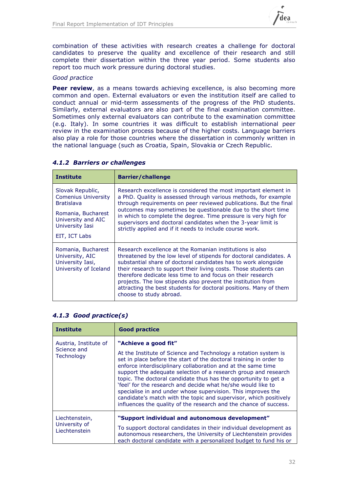

combination of these activities with research creates a challenge for doctoral candidates to preserve the quality and excellence of their research and still complete their dissertation within the three year period. Some students also report too much work pressure during doctoral studies.

### *Good practice*

**Peer review**, as a means towards achieving excellence, is also becoming more common and open. External evaluators or even the institution itself are called to conduct annual or mid-term assessments of the progress of the PhD students. Similarly, external evaluators are also part of the final examination committee. Sometimes only external evaluators can contribute to the examination committee (e.g. Italy). In some countries it was difficult to establish international peer review in the examination process because of the higher costs. Language barriers also play a role for those countries where the dissertation in commonly written in the national language (such as Croatia, Spain, Slovakia or Czech Republic.

| <b>Institute</b>                                                                                                                                    | <b>Barrier/challenge</b>                                                                                                                                                                                                                                                                                                                                                                                                                                                                            |
|-----------------------------------------------------------------------------------------------------------------------------------------------------|-----------------------------------------------------------------------------------------------------------------------------------------------------------------------------------------------------------------------------------------------------------------------------------------------------------------------------------------------------------------------------------------------------------------------------------------------------------------------------------------------------|
| Slovak Republic,<br><b>Comenius University</b><br><b>Bratislava</b><br>Romania, Bucharest<br>University and AIC<br>University Iasi<br>EIT, ICT Labs | Research excellence is considered the most important element in<br>a PhD. Quality is assessed through various methods, for example<br>through requirements on peer reviewed publications. But the final<br>outcomes may sometimes be questionable due to the short time<br>in which to complete the degree. Time pressure is very high for<br>supervisors and doctoral candidates when the 3-year limit is<br>strictly applied and if it needs to include course work.                              |
| Romania, Bucharest<br>University, AIC<br>University Iasi,<br>University of Iceland                                                                  | Research excellence at the Romanian institutions is also<br>threatened by the low level of stipends for doctoral candidates. A<br>substantial share of doctoral candidates has to work alongside<br>their research to support their living costs. Those students can<br>therefore dedicate less time to and focus on their research<br>projects. The low stipends also prevent the institution from<br>attracting the best students for doctoral positions. Many of them<br>choose to study abroad. |

### *4.1.2 Barriers or challenges*

### <span id="page-31-0"></span>*4.1.3 Good practice(s)*

| <b>Institute</b>                                   | <b>Good practice</b>                                                                                                                                                                                                                                                                                                                                                                                                                                                                                                                                                                                                                          |
|----------------------------------------------------|-----------------------------------------------------------------------------------------------------------------------------------------------------------------------------------------------------------------------------------------------------------------------------------------------------------------------------------------------------------------------------------------------------------------------------------------------------------------------------------------------------------------------------------------------------------------------------------------------------------------------------------------------|
| Austria, Institute of<br>Science and<br>Technology | "Achieve a good fit"<br>At the Institute of Science and Technology a rotation system is<br>set in place before the start of the doctoral training in order to<br>enforce interdisciplinary collaboration and at the same time<br>support the adequate selection of a research group and research<br>topic. The doctoral candidate thus has the opportunity to get a<br>'feel' for the research and decide what he/she would like to<br>specialise in and under whose supervision. This improves the<br>candidate's match with the topic and supervisor, which positively<br>influences the quality of the research and the chance of success. |
| Liechtenstein,<br>University of<br>Liechtenstein   | "Support individual and autonomous development"<br>To support doctoral candidates in their individual development as<br>autonomous researchers, the University of Liechtenstein provides<br>each doctoral candidate with a personalized budget to fund his or                                                                                                                                                                                                                                                                                                                                                                                 |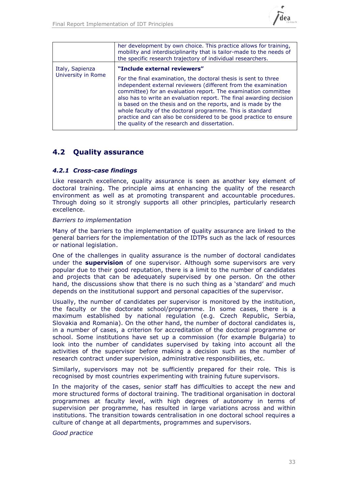

|                                       | her development by own choice. This practice allows for training,<br>mobility and interdisciplinarity that is tailor-made to the needs of<br>the specific research trajectory of individual researchers.                                                                                                                                                                                                                                                                                                                                                       |
|---------------------------------------|----------------------------------------------------------------------------------------------------------------------------------------------------------------------------------------------------------------------------------------------------------------------------------------------------------------------------------------------------------------------------------------------------------------------------------------------------------------------------------------------------------------------------------------------------------------|
| Italy, Sapienza<br>University in Rome | "Include external reviewers"<br>For the final examination, the doctoral thesis is sent to three<br>independent external reviewers (different from the examination<br>committee) for an evaluation report. The examination committee<br>also has to write an evaluation report. The final awarding decision<br>is based on the thesis and on the reports, and is made by the<br>whole faculty of the doctoral programme. This is standard<br>practice and can also be considered to be good practice to ensure<br>the quality of the research and dissertation. |

## **4.2 Quality assurance**

### *4.2.1 Cross-case findings*

Like research excellence, quality assurance is seen as another key element of doctoral training. The principle aims at enhancing the quality of the research environment as well as at promoting transparent and accountable procedures. Through doing so it strongly supports all other principles, particularly research excellence.

### *Barriers to implementation*

Many of the barriers to the implementation of quality assurance are linked to the general barriers for the implementation of the IDTPs such as the lack of resources or national legislation.

One of the challenges in quality assurance is the number of doctoral candidates under the **supervision** of one supervisor. Although some supervisors are very popular due to their good reputation, there is a limit to the number of candidates and projects that can be adequately supervised by one person. On the other hand, the discussions show that there is no such thing as a 'standard' and much depends on the institutional support and personal capacities of the supervisor.

Usually, the number of candidates per supervisor is monitored by the institution, the faculty or the doctorate school/programme. In some cases, there is a maximum established by national regulation (e.g. Czech Republic, Serbia, Slovakia and Romania). On the other hand, the number of doctoral candidates is, in a number of cases, a criterion for accreditation of the doctoral programme or school. Some institutions have set up a commission (for example Bulgaria) to look into the number of candidates supervised by taking into account all the activities of the supervisor before making a decision such as the number of research contract under supervision, administrative responsibilities, etc.

Similarly, supervisors may not be sufficiently prepared for their role. This is recognised by most countries experimenting with training future supervisors.

In the majority of the cases, senior staff has difficulties to accept the new and more structured forms of doctoral training. The traditional organisation in doctoral programmes at faculty level, with high degrees of autonomy in terms of supervision per programme, has resulted in large variations across and within institutions. The transition towards centralisation in one doctoral school requires a culture of change at all departments, programmes and supervisors.

*Good practice*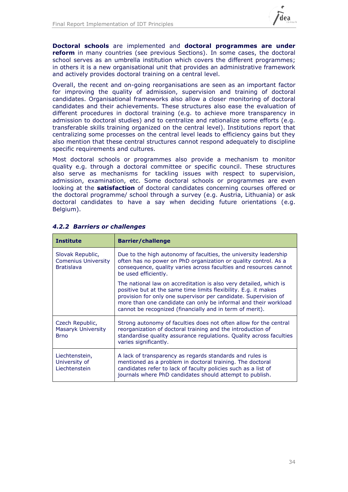

**Doctoral schools** are implemented and **doctoral programmes are under reform** in many countries (see previous Sections). In some cases, the doctoral school serves as an umbrella institution which covers the different programmes; in others it is a new organisational unit that provides an administrative framework and actively provides doctoral training on a central level.

Overall, the recent and on-going reorganisations are seen as an important factor for improving the quality of admission, supervision and training of doctoral candidates. Organisational frameworks also allow a closer monitoring of doctoral candidates and their achievements. These structures also ease the evaluation of different procedures in doctoral training (e.g. to achieve more transparency in admission to doctoral studies) and to centralize and rationalize some efforts (e.g. transferable skills training organized on the central level). Institutions report that centralizing some processes on the central level leads to efficiency gains but they also mention that these central structures cannot respond adequately to discipline specific requirements and cultures.

Most doctoral schools or programmes also provide a mechanism to monitor quality e.g. through a doctoral committee or specific council. These structures also serve as mechanisms for tackling issues with respect to supervision, admission, examination, etc. Some doctoral schools or programmes are even looking at the **satisfaction** of doctoral candidates concerning courses offered or the doctoral programme/ school through a survey (e.g. Austria, Lithuania) or ask doctoral candidates to have a say when deciding future orientations (e.g. Belgium).

| <b>Institute</b>                                                    | <b>Barrier/challenge</b>                                                                                                                                                                                                                                                                                                               |
|---------------------------------------------------------------------|----------------------------------------------------------------------------------------------------------------------------------------------------------------------------------------------------------------------------------------------------------------------------------------------------------------------------------------|
| Slovak Republic,<br><b>Comenius University</b><br><b>Bratislava</b> | Due to the high autonomy of faculties, the university leadership<br>often has no power on PhD organization or quality control. As a<br>consequence, quality varies across faculties and resources cannot<br>be used efficiently.                                                                                                       |
|                                                                     | The national law on accreditation is also very detailed, which is<br>positive but at the same time limits flexibility. E.g. it makes<br>provision for only one supervisor per candidate. Supervision of<br>more than one candidate can only be informal and their workload<br>cannot be recognized (financially and in term of merit). |
| Czech Republic,<br>Masaryk University<br><b>Brno</b>                | Strong autonomy of faculties does not often allow for the central<br>reorganization of doctoral training and the introduction of<br>standardise quality assurance regulations. Quality across faculties<br>varies significantly.                                                                                                       |
| Liechtenstein,<br>University of<br>Liechtenstein                    | A lack of transparency as regards standards and rules is<br>mentioned as a problem in doctoral training. The doctoral<br>candidates refer to lack of faculty policies such as a list of<br>journals where PhD candidates should attempt to publish.                                                                                    |

### *4.2.2 Barriers or challenges*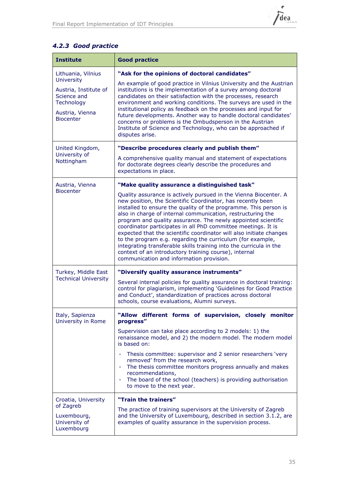

## *4.2.3 Good practice*

| <b>Institute</b>                                                                                                                     | <b>Good practice</b>                                                                                                                                                                                                                                                                                                                                                                                                                                                                                                                                                                                                                                                                                                                                                  |
|--------------------------------------------------------------------------------------------------------------------------------------|-----------------------------------------------------------------------------------------------------------------------------------------------------------------------------------------------------------------------------------------------------------------------------------------------------------------------------------------------------------------------------------------------------------------------------------------------------------------------------------------------------------------------------------------------------------------------------------------------------------------------------------------------------------------------------------------------------------------------------------------------------------------------|
| Lithuania, Vilnius<br><b>University</b><br>Austria, Institute of<br>Science and<br>Technology<br>Austria, Vienna<br><b>Biocenter</b> | "Ask for the opinions of doctoral candidates"<br>An example of good practice in Vilnius University and the Austrian<br>institutions is the implementation of a survey among doctoral<br>candidates on their satisfaction with the processes, research<br>environment and working conditions. The surveys are used in the<br>institutional policy as feedback on the processes and input for<br>future developments. Another way to handle doctoral candidates'<br>concerns or problems is the Ombudsperson in the Austrian<br>Institute of Science and Technology, who can be approached if<br>disputes arise.                                                                                                                                                        |
| United Kingdom,<br>University of<br>Nottingham                                                                                       | "Describe procedures clearly and publish them"<br>A comprehensive quality manual and statement of expectations<br>for doctorate degrees clearly describe the procedures and<br>expectations in place.                                                                                                                                                                                                                                                                                                                                                                                                                                                                                                                                                                 |
| Austria, Vienna<br><b>Biocenter</b>                                                                                                  | "Make quality assurance a distinguished task"<br>Quality assurance is actively pursued in the Vienna Biocenter. A<br>new position, the Scientific Coordinator, has recently been<br>installed to ensure the quality of the programme. This person is<br>also in charge of internal communication, restructuring the<br>program and quality assurance. The newly appointed scientific<br>coordinator participates in all PhD committee meetings. It is<br>expected that the scientific coordinator will also initiate changes<br>to the program e.g. regarding the curriculum (for example,<br>integrating transferable skills training into the curricula in the<br>context of an introductory training course), internal<br>communication and information provision. |
| Turkey, Middle East<br><b>Technical University</b>                                                                                   | "Diversify quality assurance instruments"<br>Several internal policies for quality assurance in doctoral training:<br>control for plagiarism, implementing 'Guidelines for Good Practice<br>and Conduct', standardization of practices across doctoral<br>schools, course evaluations, Alumni surveys.                                                                                                                                                                                                                                                                                                                                                                                                                                                                |
| Italy, Sapienza<br>University in Rome                                                                                                | "Allow different forms of supervision, closely monitor<br>progress"<br>Supervision can take place according to 2 models: 1) the<br>renaissance model, and 2) the modern model. The modern model<br>is based on:<br>Thesis committee: supervisor and 2 senior researchers 'very<br>removed' from the research work,<br>The thesis committee monitors progress annually and makes<br>$\sim$<br>recommendations,<br>The board of the school (teachers) is providing authorisation<br>٠<br>to move to the next year.                                                                                                                                                                                                                                                      |
| Croatia, University<br>of Zagreb<br>Luxembourg,<br>University of<br>Luxembourg                                                       | "Train the trainers"<br>The practice of training supervisors at the University of Zagreb<br>and the University of Luxembourg, described in section 3.1.2, are<br>examples of quality assurance in the supervision process.                                                                                                                                                                                                                                                                                                                                                                                                                                                                                                                                            |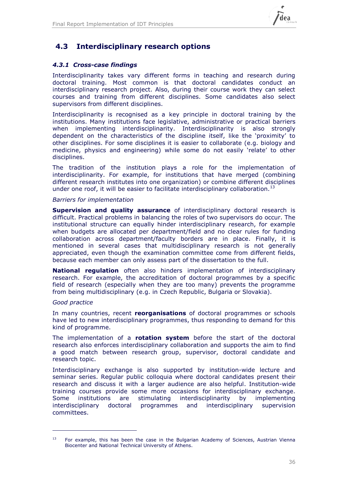

## **4.3 Interdisciplinary research options**

### *4.3.1 Cross-case findings*

Interdisciplinarity takes vary different forms in teaching and research during doctoral training. Most common is that doctoral candidates conduct an interdisciplinary research project. Also, during their course work they can select courses and training from different disciplines. Some candidates also select supervisors from different disciplines.

Interdisciplinarity is recognised as a key principle in doctoral training by the institutions. Many institutions face legislative, administrative or practical barriers when implementing interdisciplinarity. Interdisciplinarity is also strongly dependent on the characteristics of the discipline itself, like the 'proximity' to other disciplines. For some disciplines it is easier to collaborate (e.g. biology and medicine, physics and engineering) while some do not easily 'relate' to other disciplines.

The tradition of the institution plays a role for the implementation of interdisciplinarity. For example, for institutions that have merged (combining different research institutes into one organization) or combine different disciplines under one roof, it will be easier to facilitate interdisciplinary collaboration.<sup>13</sup>

### *Barriers for implementation*

**Supervision and quality assurance** of interdisciplinary doctoral research is difficult. Practical problems in balancing the roles of two supervisors do occur. The institutional structure can equally hinder interdisciplinary research, for example when budgets are allocated per department/field and no clear rules for funding collaboration across department/faculty borders are in place. Finally, it is mentioned in several cases that multidisciplinary research is not generally appreciated, even though the examination committee come from different fields, because each member can only assess part of the dissertation to the full.

**National regulation** often also hinders implementation of interdisciplinary research. For example, the accreditation of doctoral programmes by a specific field of research (especially when they are too many) prevents the programme from being multidisciplinary (e.g. in Czech Republic, Bulgaria or Slovakia).

### *Good practice*

-

In many countries, recent **reorganisations** of doctoral programmes or schools have led to new interdisciplinary programmes, thus responding to demand for this kind of programme.

The implementation of a **rotation system** before the start of the doctoral research also enforces interdisciplinary collaboration and supports the aim to find a good match between research group, supervisor, doctoral candidate and research topic.

Interdisciplinary exchange is also supported by institution-wide lecture and seminar series. Regular public colloquia where doctoral candidates present their research and discuss it with a larger audience are also helpful. Institution-wide training courses provide some more occasions for interdisciplinary exchange. Some institutions are stimulating interdisciplinarity by implementing interdisciplinary doctoral programmes and interdisciplinary supervision committees.

<sup>&</sup>lt;sup>13</sup> For example, this has been the case in the Bulgarian Academy of Sciences, Austrian Vienna Biocenter and National Technical University of Athens.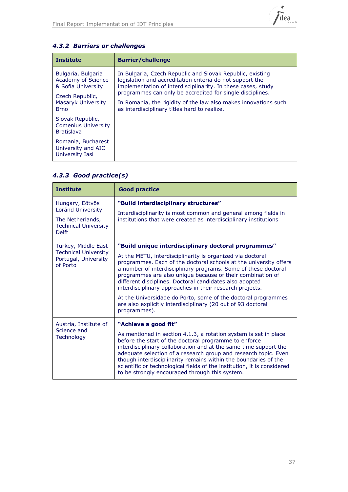

| <b>Institute</b>                                                                                        | <b>Barrier/challenge</b>                                                                                                                                                                                                                                                                                               |
|---------------------------------------------------------------------------------------------------------|------------------------------------------------------------------------------------------------------------------------------------------------------------------------------------------------------------------------------------------------------------------------------------------------------------------------|
| Bulgaria, Bulgaria<br>Academy of Science<br>& Sofia University<br>Czech Republic,<br>Masaryk University | In Bulgaria, Czech Republic and Slovak Republic, existing<br>legislation and accreditation criteria do not support the<br>implementation of interdisciplinarity. In these cases, study<br>programmes can only be accredited for single disciplines.<br>In Romania, the rigidity of the law also makes innovations such |
| <b>Brno</b>                                                                                             | as interdisciplinary titles hard to realize.                                                                                                                                                                                                                                                                           |
| Slovak Republic,<br><b>Comenius University</b><br><b>Bratislava</b>                                     |                                                                                                                                                                                                                                                                                                                        |
| Romania, Bucharest<br>University and AIC<br>University Iasi                                             |                                                                                                                                                                                                                                                                                                                        |

## *4.3.2 Barriers or challenges*

## *4.3.3 Good practice(s)*

| <b>Institute</b>                                                                                        | <b>Good practice</b>                                                                                                                                                                                                                                                                                                                                                                                                                                             |
|---------------------------------------------------------------------------------------------------------|------------------------------------------------------------------------------------------------------------------------------------------------------------------------------------------------------------------------------------------------------------------------------------------------------------------------------------------------------------------------------------------------------------------------------------------------------------------|
| Hungary, Eötvös<br>Loránd University<br>The Netherlands,<br><b>Technical University</b><br><b>Delft</b> | "Build interdisciplinary structures"<br>Interdisciplinarity is most common and general among fields in<br>institutions that were created as interdisciplinary institutions                                                                                                                                                                                                                                                                                       |
| Turkey, Middle East                                                                                     | "Build unique interdisciplinary doctoral programmes"                                                                                                                                                                                                                                                                                                                                                                                                             |
| <b>Technical University</b><br>Portugal, University<br>of Porto                                         | At the METU, interdisciplinarity is organized via doctoral<br>programmes. Each of the doctoral schools at the university offers<br>a number of interdisciplinary programs. Some of these doctoral<br>programmes are also unique because of their combination of<br>different disciplines. Doctoral candidates also adopted<br>interdisciplinary approaches in their research projects.                                                                           |
|                                                                                                         | At the Universidade do Porto, some of the doctoral programmes<br>are also explicitly interdisciplinary (20 out of 93 doctoral<br>programmes).                                                                                                                                                                                                                                                                                                                    |
| Austria, Institute of<br>Science and<br>Technology                                                      | "Achieve a good fit"                                                                                                                                                                                                                                                                                                                                                                                                                                             |
|                                                                                                         | As mentioned in section 4.1.3, a rotation system is set in place<br>before the start of the doctoral programme to enforce<br>interdisciplinary collaboration and at the same time support the<br>adequate selection of a research group and research topic. Even<br>though interdisciplinarity remains within the boundaries of the<br>scientific or technological fields of the institution, it is considered<br>to be strongly encouraged through this system. |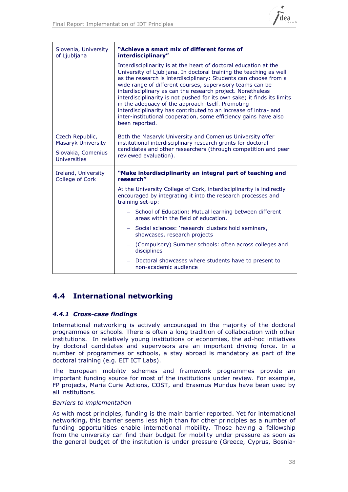

| Slovenia, University<br>of Ljubljana         | "Achieve a smart mix of different forms of<br>interdisciplinary"                                                                                                                                                                                                                                                                                                                                                                                                                                                                                                                                                                |
|----------------------------------------------|---------------------------------------------------------------------------------------------------------------------------------------------------------------------------------------------------------------------------------------------------------------------------------------------------------------------------------------------------------------------------------------------------------------------------------------------------------------------------------------------------------------------------------------------------------------------------------------------------------------------------------|
|                                              | Interdisciplinarity is at the heart of doctoral education at the<br>University of Ljubljana. In doctoral training the teaching as well<br>as the research is interdisciplinary: Students can choose from a<br>wide range of different courses, supervisory teams can be<br>interdisciplinary as can the research project. Nonetheless<br>interdisciplinarity is not pushed for its own sake; it finds its limits<br>in the adequacy of the approach itself. Promoting<br>interdisciplinarity has contributed to an increase of intra- and<br>inter-institutional cooperation, some efficiency gains have also<br>been reported. |
| Czech Republic,<br><b>Masaryk University</b> | Both the Masaryk University and Comenius University offer<br>institutional interdisciplinary research grants for doctoral                                                                                                                                                                                                                                                                                                                                                                                                                                                                                                       |
| Slovakia, Comenius<br>Universities           | candidates and other researchers (through competition and peer<br>reviewed evaluation).                                                                                                                                                                                                                                                                                                                                                                                                                                                                                                                                         |
| Ireland, University<br>College of Cork       | "Make interdisciplinarity an integral part of teaching and<br>research"                                                                                                                                                                                                                                                                                                                                                                                                                                                                                                                                                         |
|                                              | At the University College of Cork, interdisciplinarity is indirectly<br>encouraged by integrating it into the research processes and<br>training set-up:                                                                                                                                                                                                                                                                                                                                                                                                                                                                        |
|                                              | - School of Education: Mutual learning between different<br>areas within the field of education.                                                                                                                                                                                                                                                                                                                                                                                                                                                                                                                                |
|                                              | Social sciences: 'research' clusters hold seminars,<br>showcases, research projects                                                                                                                                                                                                                                                                                                                                                                                                                                                                                                                                             |
|                                              | (Compulsory) Summer schools: often across colleges and<br>$\overline{\phantom{a}}$<br>disciplines                                                                                                                                                                                                                                                                                                                                                                                                                                                                                                                               |
|                                              | Doctoral showcases where students have to present to<br>non-academic audience                                                                                                                                                                                                                                                                                                                                                                                                                                                                                                                                                   |

## **4.4 International networking**

### *4.4.1 Cross-case findings*

International networking is actively encouraged in the majority of the doctoral programmes or schools. There is often a long tradition of collaboration with other institutions. In relatively young institutions or economies, the ad-hoc initiatives by doctoral candidates and supervisors are an important driving force. In a number of programmes or schools, a stay abroad is mandatory as part of the doctoral training (e.g. EIT ICT Labs).

The European mobility schemes and framework programmes provide an important funding source for most of the institutions under review. For example, FP projects, Marie Curie Actions, COST, and Erasmus Mundus have been used by all institutions.

### *Barriers to implementation*

As with most principles, funding is the main barrier reported. Yet for international networking, this barrier seems less high than for other principles as a number of funding opportunities enable international mobility. Those having a fellowship from the university can find their budget for mobility under pressure as soon as the general budget of the institution is under pressure (Greece, Cyprus, Bosnia-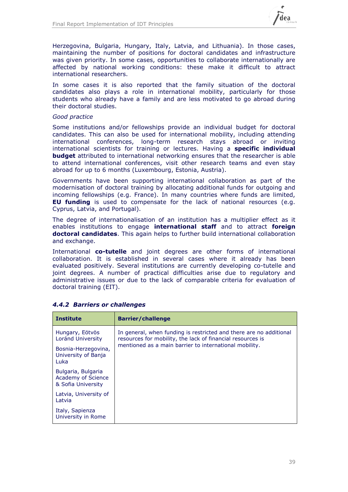

Herzegovina, Bulgaria, Hungary, Italy, Latvia, and Lithuania). In those cases, maintaining the number of positions for doctoral candidates and infrastructure was given priority. In some cases, opportunities to collaborate internationally are affected by national working conditions: these make it difficult to attract international researchers.

In some cases it is also reported that the family situation of the doctoral candidates also plays a role in international mobility, particularly for those students who already have a family and are less motivated to go abroad during their doctoral studies.

### *Good practice*

Some institutions and/or fellowships provide an individual budget for doctoral candidates. This can also be used for international mobility, including attending international conferences, long-term research stays abroad or inviting international scientists for training or lectures. Having a **specific individual budget** attributed to international networking ensures that the researcher is able to attend international conferences, visit other research teams and even stay abroad for up to 6 months (Luxembourg, Estonia, Austria).

Governments have been supporting international collaboration as part of the modernisation of doctoral training by allocating additional funds for outgoing and incoming fellowships (e.g. France). In many countries where funds are limited, **EU funding** is used to compensate for the lack of national resources (e.g. Cyprus, Latvia, and Portugal).

The degree of internationalisation of an institution has a multiplier effect as it enables institutions to engage **international staff** and to attract **foreign doctoral candidates**. This again helps to further build international collaboration and exchange.

International **co-tutelle** and joint degrees are other forms of international collaboration. It is established in several cases where it already has been evaluated positively. Several institutions are currently developing co-tutelle and joint degrees. A number of practical difficulties arise due to regulatory and administrative issues or due to the lack of comparable criteria for evaluation of doctoral training (EIT).

| <b>Institute</b>                                               | <b>Barrier/challenge</b>                                                                                                                                                                   |
|----------------------------------------------------------------|--------------------------------------------------------------------------------------------------------------------------------------------------------------------------------------------|
| Hungary, Eötvös<br>Loránd University                           | In general, when funding is restricted and there are no additional<br>resources for mobility, the lack of financial resources is<br>mentioned as a main barrier to international mobility. |
| Bosnia-Herzegovina,<br>University of Banja<br>Luka             |                                                                                                                                                                                            |
| Bulgaria, Bulgaria<br>Academy of Science<br>& Sofia University |                                                                                                                                                                                            |
| Latvia, University of<br>Latvia                                |                                                                                                                                                                                            |
| Italy, Sapienza<br>University in Rome                          |                                                                                                                                                                                            |

### *4.4.2 Barriers or challenges*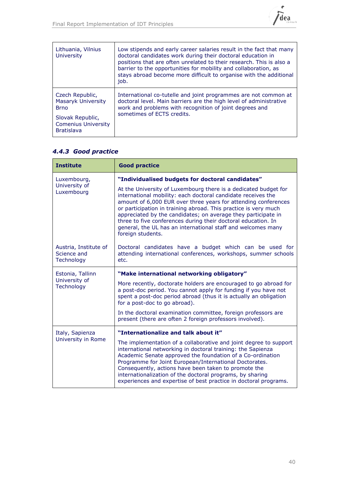

| Lithuania, Vilnius<br>University                                    | Low stipends and early career salaries result in the fact that many<br>doctoral candidates work during their doctoral education in<br>positions that are often unrelated to their research. This is also a<br>barrier to the opportunities for mobility and collaboration, as<br>stays abroad become more difficult to organise with the additional<br>job. |
|---------------------------------------------------------------------|-------------------------------------------------------------------------------------------------------------------------------------------------------------------------------------------------------------------------------------------------------------------------------------------------------------------------------------------------------------|
| Czech Republic,<br>Masaryk University<br><b>Brno</b>                | International co-tutelle and joint programmes are not common at<br>doctoral level. Main barriers are the high level of administrative<br>work and problems with recognition of joint degrees and<br>sometimes of ECTS credits.                                                                                                                              |
| Slovak Republic,<br><b>Comenius University</b><br><b>Bratislava</b> |                                                                                                                                                                                                                                                                                                                                                             |

### *4.4.3 Good practice*

| <b>Institute</b>                                          | <b>Good practice</b>                                                                                                                                                                                                                                                                                                                                                                                                                                                                        |  |  |
|-----------------------------------------------------------|---------------------------------------------------------------------------------------------------------------------------------------------------------------------------------------------------------------------------------------------------------------------------------------------------------------------------------------------------------------------------------------------------------------------------------------------------------------------------------------------|--|--|
| Luxembourg,                                               | "Individualised budgets for doctoral candidates"                                                                                                                                                                                                                                                                                                                                                                                                                                            |  |  |
| University of<br>Luxembourg                               | At the University of Luxembourg there is a dedicated budget for<br>international mobility: each doctoral candidate receives the<br>amount of 6,000 EUR over three years for attending conferences<br>or participation in training abroad. This practice is very much<br>appreciated by the candidates; on average they participate in<br>three to five conferences during their doctoral education. In<br>general, the UL has an international staff and welcomes many<br>foreign students. |  |  |
| Austria, Institute of<br>Science and<br><b>Technology</b> | Doctoral candidates have a budget which can be used for<br>attending international conferences, workshops, summer schools<br>etc.                                                                                                                                                                                                                                                                                                                                                           |  |  |
| Estonia, Tallinn                                          | "Make international networking obligatory"                                                                                                                                                                                                                                                                                                                                                                                                                                                  |  |  |
| University of<br>Technology                               | More recently, doctorate holders are encouraged to go abroad for<br>a post-doc period. You cannot apply for funding if you have not<br>spent a post-doc period abroad (thus it is actually an obligation<br>for a post-doc to go abroad).                                                                                                                                                                                                                                                   |  |  |
|                                                           | In the doctoral examination committee, foreign professors are<br>present (there are often 2 foreign professors involved).                                                                                                                                                                                                                                                                                                                                                                   |  |  |
| Italy, Sapienza<br>University in Rome                     | "Internationalize and talk about it"                                                                                                                                                                                                                                                                                                                                                                                                                                                        |  |  |
|                                                           | The implementation of a collaborative and joint degree to support<br>international networking in doctoral training: the Sapienza<br>Academic Senate approved the foundation of a Co-ordination<br>Programme for Joint European/International Doctorates.<br>Consequently, actions have been taken to promote the<br>internationalization of the doctoral programs, by sharing<br>experiences and expertise of best practice in doctoral programs.                                           |  |  |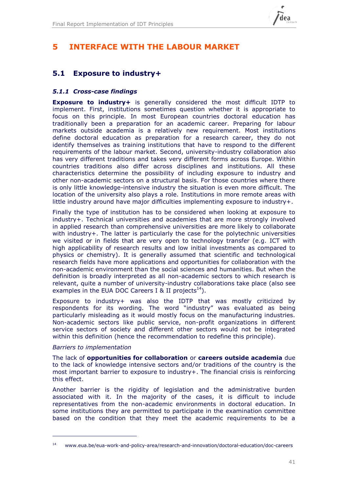

## **5 INTERFACE WITH THE LABOUR MARKET**

## **5.1 Exposure to industry+**

### *5.1.1 Cross-case findings*

**Exposure to industry+** is generally considered the most difficult IDTP to implement. First, institutions sometimes question whether it is appropriate to focus on this principle. In most European countries doctoral education has traditionally been a preparation for an academic career. Preparing for labour markets outside academia is a relatively new requirement. Most institutions define doctoral education as preparation for a research career, they do not identify themselves as training institutions that have to respond to the different requirements of the labour market. Second, university-industry collaboration also has very different traditions and takes very different forms across Europe. Within countries traditions also differ across disciplines and institutions. All these characteristics determine the possibility of including exposure to industry and other non-academic sectors on a structural basis. For those countries where there is only little knowledge-intensive industry the situation is even more difficult. The location of the university also plays a role. Institutions in more remote areas with little industry around have major difficulties implementing exposure to industry+.

Finally the type of institution has to be considered when looking at exposure to industry+. Technical universities and academies that are more strongly involved in applied research than comprehensive universities are more likely to collaborate with industry+. The latter is particularly the case for the polytechnic universities we visited or in fields that are very open to technology transfer (e.g. ICT with high applicability of research results and low initial investments as compared to physics or chemistry). It is generally assumed that scientific and technological research fields have more applications and opportunities for collaboration with the non-academic environment than the social sciences and humanities. But when the definition is broadly interpreted as all non-academic sectors to which research is relevant, quite a number of university-industry collaborations take place (also see examples in the EUA DOC Careers I & II projects<sup>14</sup>).

Exposure to industry+ was also the IDTP that was mostly criticized by respondents for its wording. The word "industry" was evaluated as being particularly misleading as it would mostly focus on the manufacturing industries. Non-academic sectors like public service, non-profit organizations in different service sectors of society and different other sectors would not be integrated within this definition (hence the recommendation to redefine this principle).

### *Barriers to implementation*

-

The lack of **opportunities for collaboration** or **careers outside academia** due to the lack of knowledge intensive sectors and/or traditions of the country is the most important barrier to exposure to industry+. The financial crisis is reinforcing this effect.

Another barrier is the rigidity of legislation and the administrative burden associated with it. In the majority of the cases, it is difficult to include representatives from the non-academic environments in doctoral education. In some institutions they are permitted to participate in the examination committee based on the condition that they meet the academic requirements to be a

<sup>14</sup> www.eua.be/eua-work-and-policy-area/research-and-innovation/doctoral-education/doc-careers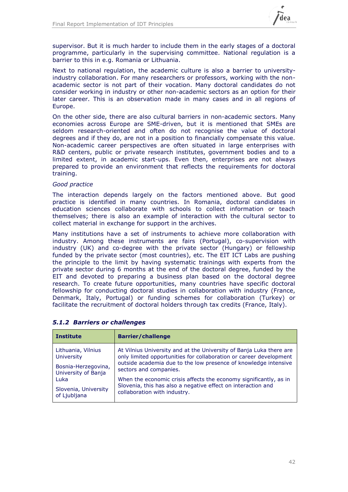

supervisor. But it is much harder to include them in the early stages of a doctoral programme, particularly in the supervising committee. National regulation is a barrier to this in e.g. Romania or Lithuania.

Next to national regulation, the academic culture is also a barrier to universityindustry collaboration. For many researchers or professors, working with the nonacademic sector is not part of their vocation. Many doctoral candidates do not consider working in industry or other non-academic sectors as an option for their later career. This is an observation made in many cases and in all regions of Europe.

On the other side, there are also cultural barriers in non-academic sectors. Many economies across Europe are SME-driven, but it is mentioned that SMEs are seldom research-oriented and often do not recognise the value of doctoral degrees and if they do, are not in a position to financially compensate this value. Non-academic career perspectives are often situated in large enterprises with R&D centers, public or private research institutes, government bodies and to a limited extent, in academic start-ups. Even then, enterprises are not always prepared to provide an environment that reflects the requirements for doctoral training.

### *Good practice*

The interaction depends largely on the factors mentioned above. But good practice is identified in many countries. In Romania, doctoral candidates in education sciences collaborate with schools to collect information or teach themselves; there is also an example of interaction with the cultural sector to collect material in exchange for support in the archives.

Many institutions have a set of instruments to achieve more collaboration with industry. Among these instruments are fairs (Portugal), co-supervision with industry (UK) and co-degree with the private sector (Hungary) or fellowship funded by the private sector (most countries), etc. The EIT ICT Labs are pushing the principle to the limit by having systematic trainings with experts from the private sector during 6 months at the end of the doctoral degree, funded by the EIT and devoted to preparing a business plan based on the doctoral degree research. To create future opportunities, many countries have specific doctoral fellowship for conducting doctoral studies in collaboration with industry (France, Denmark, Italy, Portugal) or funding schemes for collaboration (Turkey) or facilitate the recruitment of doctoral holders through tax credits (France, Italy).

| <b>Institute</b>     | <b>Barrier/challenge</b>                                            |
|----------------------|---------------------------------------------------------------------|
| Lithuania, Vilnius   | At Vilnius University and at the University of Banja Luka there are |
| <b>University</b>    | only limited opportunities for collaboration or career development  |
| Bosnia-Herzegovina,  | outside academia due to the low presence of knowledge intensive     |
| University of Banja  | sectors and companies.                                              |
| Luka                 | When the economic crisis affects the economy significantly, as in   |
| Slovenia, University | Slovenia, this has also a negative effect on interaction and        |
| of Ljubljana         | collaboration with industry.                                        |

### *5.1.2 Barriers or challenges*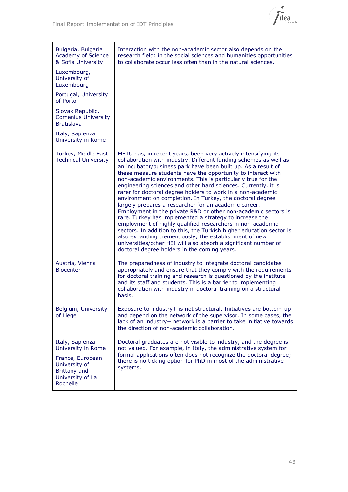

| Bulgaria, Bulgaria<br>Academy of Science<br>& Sofia University<br>Luxembourg,<br>University of<br>Luxembourg<br>Portugal, University | Interaction with the non-academic sector also depends on the<br>research field: in the social sciences and humanities opportunities<br>to collaborate occur less often than in the natural sciences.                                                                                                                                                                                                                                                                                                                                                                                                                                                                                                                                                                                                                                                                                                                                                                                                                                       |
|--------------------------------------------------------------------------------------------------------------------------------------|--------------------------------------------------------------------------------------------------------------------------------------------------------------------------------------------------------------------------------------------------------------------------------------------------------------------------------------------------------------------------------------------------------------------------------------------------------------------------------------------------------------------------------------------------------------------------------------------------------------------------------------------------------------------------------------------------------------------------------------------------------------------------------------------------------------------------------------------------------------------------------------------------------------------------------------------------------------------------------------------------------------------------------------------|
| of Porto<br>Slovak Republic,<br><b>Comenius University</b><br><b>Bratislava</b>                                                      |                                                                                                                                                                                                                                                                                                                                                                                                                                                                                                                                                                                                                                                                                                                                                                                                                                                                                                                                                                                                                                            |
| Italy, Sapienza<br>University in Rome                                                                                                |                                                                                                                                                                                                                                                                                                                                                                                                                                                                                                                                                                                                                                                                                                                                                                                                                                                                                                                                                                                                                                            |
| Turkey, Middle East<br><b>Technical University</b>                                                                                   | METU has, in recent years, been very actively intensifying its<br>collaboration with industry. Different funding schemes as well as<br>an incubator/business park have been built up. As a result of<br>these measure students have the opportunity to interact with<br>non-academic environments. This is particularly true for the<br>engineering sciences and other hard sciences. Currently, it is<br>rarer for doctoral degree holders to work in a non-academic<br>environment on completion. In Turkey, the doctoral degree<br>largely prepares a researcher for an academic career.<br>Employment in the private R&D or other non-academic sectors is<br>rare. Turkey has implemented a strategy to increase the<br>employment of highly qualified researchers in non-academic<br>sectors. In addition to this, the Turkish higher education sector is<br>also expanding tremendously; the establishment of new<br>universities/other HEI will also absorb a significant number of<br>doctoral degree holders in the coming years. |
| Austria, Vienna<br><b>Biocenter</b>                                                                                                  | The preparedness of industry to integrate doctoral candidates<br>appropriately and ensure that they comply with the requirements<br>for doctoral training and research is questioned by the institute<br>and its staff and students. This is a barrier to implementing<br>collaboration with industry in doctoral training on a structural<br>basis.                                                                                                                                                                                                                                                                                                                                                                                                                                                                                                                                                                                                                                                                                       |
| Belgium, University<br>of Liege                                                                                                      | Exposure to industry+ is not structural. Initiatives are bottom-up<br>and depend on the network of the supervisor. In some cases, the<br>lack of an industry+ network is a barrier to take initiative towards<br>the direction of non-academic collaboration.                                                                                                                                                                                                                                                                                                                                                                                                                                                                                                                                                                                                                                                                                                                                                                              |
| Italy, Sapienza<br>University in Rome<br>France, European<br>University of<br>Brittany and<br>University of La<br>Rochelle           | Doctoral graduates are not visible to industry, and the degree is<br>not valued. For example, in Italy, the administrative system for<br>formal applications often does not recognize the doctoral degree;<br>there is no ticking option for PhD in most of the administrative<br>systems.                                                                                                                                                                                                                                                                                                                                                                                                                                                                                                                                                                                                                                                                                                                                                 |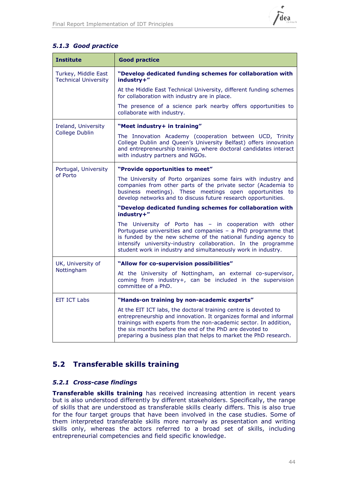

### *5.1.3 Good practice*

| <b>Institute</b>                                   | <b>Good practice</b>                                                                                                                                                                                                                                                                                                                     |
|----------------------------------------------------|------------------------------------------------------------------------------------------------------------------------------------------------------------------------------------------------------------------------------------------------------------------------------------------------------------------------------------------|
| Turkey, Middle East<br><b>Technical University</b> | "Develop dedicated funding schemes for collaboration with<br>industry+"                                                                                                                                                                                                                                                                  |
|                                                    | At the Middle East Technical University, different funding schemes<br>for collaboration with industry are in place.                                                                                                                                                                                                                      |
|                                                    | The presence of a science park nearby offers opportunities to<br>collaborate with industry.                                                                                                                                                                                                                                              |
| Ireland, University                                | "Meet industry+ in training"                                                                                                                                                                                                                                                                                                             |
| <b>College Dublin</b>                              | The Innovation Academy (cooperation between UCD, Trinity<br>College Dublin and Queen's University Belfast) offers innovation<br>and entrepreneurship training, where doctoral candidates interact<br>with industry partners and NGOs.                                                                                                    |
| Portugal, University                               | "Provide opportunities to meet"                                                                                                                                                                                                                                                                                                          |
| of Porto                                           | The University of Porto organizes some fairs with industry and<br>companies from other parts of the private sector (Academia to<br>business meetings). These meetings open opportunities to<br>develop networks and to discuss future research opportunities.                                                                            |
|                                                    | "Develop dedicated funding schemes for collaboration with<br>industry+"                                                                                                                                                                                                                                                                  |
|                                                    | The University of Porto has - in cooperation with other<br>Portuguese universities and companies - a PhD programme that<br>is funded by the new scheme of the national funding agency to<br>intensify university-industry collaboration. In the programme<br>student work in industry and simultaneously work in industry.               |
| UK, University of                                  | "Allow for co-supervision possibilities"                                                                                                                                                                                                                                                                                                 |
| Nottingham                                         | At the University of Nottingham, an external co-supervisor,<br>coming from industry+, can be included in the supervision<br>committee of a PhD.                                                                                                                                                                                          |
| <b>EIT ICT Labs</b>                                | "Hands-on training by non-academic experts"                                                                                                                                                                                                                                                                                              |
|                                                    | At the EIT ICT labs, the doctoral training centre is devoted to<br>entrepreneurship and innovation. It organizes formal and informal<br>trainings with experts from the non-academic sector. In addition,<br>the six months before the end of the PhD are devoted to<br>preparing a business plan that helps to market the PhD research. |

## **5.2 Transferable skills training**

### *5.2.1 Cross-case findings*

**Transferable skills training** has received increasing attention in recent years but is also understood differently by different stakeholders. Specifically, the range of skills that are understood as transferable skills clearly differs. This is also true for the four target groups that have been involved in the case studies. Some of them interpreted transferable skills more narrowly as presentation and writing skills only, whereas the actors referred to a broad set of skills, including entrepreneurial competencies and field specific knowledge.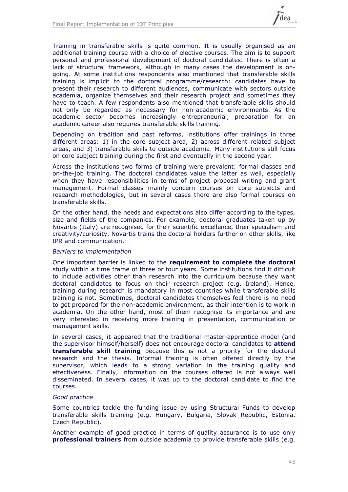

Training in transferable skills is quite common. It is usually organised as an additional training course with a choice of elective courses. The aim is to support personal and professional development of doctoral candidates. There is often a lack of structural framework, although in many cases the development is ongoing. At some institutions respondents also mentioned that transferable skills training is implicit to the doctoral programme/research: candidates have to present their research to different audiences, communicate with sectors outside academia, organize themselves and their research project and sometimes they have to teach. A few respondents also mentioned that transferable skills should not only be regarded as necessary for non-academic environments. As the academic sector becomes increasingly entrepreneurial, preparation for an academic career also requires transferable skills training.

Depending on tradition and past reforms, institutions offer trainings in three different areas: 1) in the core subject area, 2) across different related subject areas, and 3) transferable skills to outside academia. Many institutions still focus on core subject training during the first and eventually in the second year.

Across the institutions two forms of training were prevalent: formal classes and on-the-job training. The doctoral candidates value the latter as well, especially when they have responsibilities in terms of project proposal writing and grant management. Formal classes mainly concern courses on core subjects and research methodologies, but in several cases there are also formal courses on transferable skills.

On the other hand, the needs and expectations also differ according to the types, size and fields of the companies. For example, doctoral graduates taken up by Novartis (Italy) are recognised for their scientific excellence, their specialism and creativity/curiosity. Novartis trains the doctoral holders further on other skills, like IPR and communication.

### *Barriers to implementation*

One important barrier is linked to the **requirement to complete the doctoral** study within a time frame of three or four years. Some institutions find it difficult to include activities other than research into the curriculum because they want doctoral candidates to focus on their research project (e.g. Ireland). Hence, training during research is mandatory in most countries while transferable skills training is not. Sometimes, doctoral candidates themselves feel there is no need to get prepared for the non-academic environment, as their intention is to work in academia. On the other hand, most of them recognise its importance and are very interested in receiving more training in presentation, communication or management skills.

In several cases, it appeared that the traditional master-apprentice model (and the supervisor himself/herself) does not encourage doctoral candidates to **attend transferable skill training** because this is not a priority for the doctoral research and the thesis. Informal training is often offered directly by the supervisor, which leads to a strong variation in the training quality and effectiveness. Finally, information on the courses offered is not always well disseminated. In several cases, it was up to the doctoral candidate to find the courses.

### *Good practice*

Some countries tackle the funding issue by using Structural Funds to develop transferable skills training (e.g. Hungary, Bulgaria, Slovak Republic, Estonia, Czech Republic).

Another example of good practice in terms of quality assurance is to use only **professional trainers** from outside academia to provide transferable skills (e.g.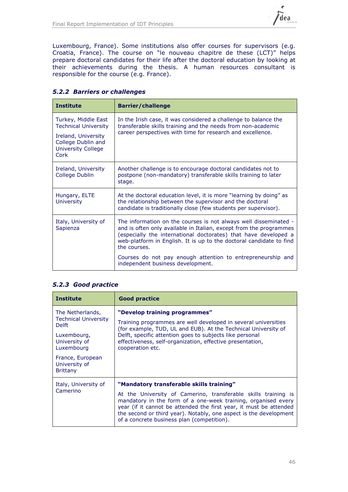

Luxembourg, France). Some institutions also offer courses for supervisors (e.g. Croatia, France). The course on "le nouveau chapitre de these (LCT)" helps prepare doctoral candidates for their life after the doctoral education by looking at their achievements during the thesis. A human resources consultant is responsible for the course (e.g. France).

| <b>Institute</b>                                                               | <b>Barrier/challenge</b>                                                                                                                                                                                                                                                                         |
|--------------------------------------------------------------------------------|--------------------------------------------------------------------------------------------------------------------------------------------------------------------------------------------------------------------------------------------------------------------------------------------------|
| Turkey, Middle East<br><b>Technical University</b>                             | In the Irish case, it was considered a challenge to balance the<br>transferable skills training and the needs from non-academic<br>career perspectives with time for research and excellence.                                                                                                    |
| Ireland, University<br>College Dublin and<br><b>University College</b><br>Cork |                                                                                                                                                                                                                                                                                                  |
| Ireland, University<br>College Dublin                                          | Another challenge is to encourage doctoral candidates not to<br>postpone (non-mandatory) transferable skills training to later<br>stage.                                                                                                                                                         |
| Hungary, ELTE<br><b>University</b>                                             | At the doctoral education level, it is more "learning by doing" as<br>the relationship between the supervisor and the doctoral<br>candidate is traditionally close (few students per supervisor).                                                                                                |
| Italy, University of<br>Sapienza                                               | The information on the courses is not always well disseminated -<br>and is often only available in Italian, except from the programmes<br>(especially the international doctorates) that have developed a<br>web-platform in English. It is up to the doctoral candidate to find<br>the courses. |
|                                                                                | Courses do not pay enough attention to entrepreneurship and<br>independent business development.                                                                                                                                                                                                 |

### *5.2.2 Barriers or challenges*

### *5.2.3 Good practice*

| <b>Institute</b>                                                                                                                                                      | <b>Good practice</b>                                                                                                                                                                                                                                                                                                                                                 |
|-----------------------------------------------------------------------------------------------------------------------------------------------------------------------|----------------------------------------------------------------------------------------------------------------------------------------------------------------------------------------------------------------------------------------------------------------------------------------------------------------------------------------------------------------------|
| The Netherlands,<br><b>Technical University</b><br><b>Delft</b><br>Luxembourg,<br>University of<br>Luxembourg<br>France, European<br>University of<br><b>Brittany</b> | "Develop training programmes"<br>Training programmes are well developed in several universities<br>(for example, TUD, UL and EUB). At the Technical University of<br>Delft, specific attention goes to subjects like personal<br>effectiveness, self-organization, effective presentation,<br>cooperation etc.                                                       |
| Italy, University of<br>Camerino                                                                                                                                      | "Mandatory transferable skills training"<br>At the University of Camerino, transferable skills training is<br>mandatory in the form of a one-week training, organised every<br>year (if it cannot be attended the first year, it must be attended<br>the second or third year). Notably, one aspect is the development<br>of a concrete business plan (competition). |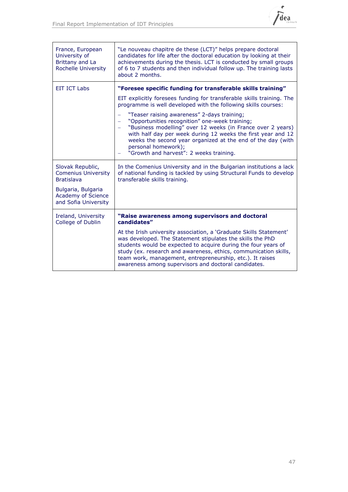

| France, European<br>University of<br>Brittany and La<br><b>Rochelle University</b> | "Le nouveau chapitre de these (LCT)" helps prepare doctoral<br>candidates for life after the doctoral education by looking at their<br>achievements during the thesis. LCT is conducted by small groups<br>of 6 to 7 students and then individual follow up. The training lasts<br>about 2 months.                                                                                          |
|------------------------------------------------------------------------------------|---------------------------------------------------------------------------------------------------------------------------------------------------------------------------------------------------------------------------------------------------------------------------------------------------------------------------------------------------------------------------------------------|
| <b>EIT ICT Labs</b>                                                                | "Foresee specific funding for transferable skills training"                                                                                                                                                                                                                                                                                                                                 |
|                                                                                    | EIT explicitly foresees funding for transferable skills training. The<br>programme is well developed with the following skills courses:                                                                                                                                                                                                                                                     |
|                                                                                    | "Teaser raising awareness" 2-days training;<br>-<br>"Opportunities recognition" one-week training;<br>-<br>"Business modelling" over 12 weeks (in France over 2 years)<br>-<br>with half day per week during 12 weeks the first year and 12<br>weeks the second year organized at the end of the day (with<br>personal homework);<br>"Growth and harvest": 2 weeks training.                |
| Slovak Republic,<br><b>Comenius University</b><br><b>Bratislava</b>                | In the Comenius University and in the Bulgarian institutions a lack<br>of national funding is tackled by using Structural Funds to develop<br>transferable skills training.                                                                                                                                                                                                                 |
| Bulgaria, Bulgaria<br><b>Academy of Science</b><br>and Sofia University            |                                                                                                                                                                                                                                                                                                                                                                                             |
| Ireland, University<br>College of Dublin                                           | "Raise awareness among supervisors and doctoral<br>candidates"                                                                                                                                                                                                                                                                                                                              |
|                                                                                    | At the Irish university association, a 'Graduate Skills Statement'<br>was developed. The Statement stipulates the skills the PhD<br>students would be expected to acquire during the four years of<br>study (ex. research and awareness, ethics, communication skills,<br>team work, management, entrepreneurship, etc.). It raises<br>awareness among supervisors and doctoral candidates. |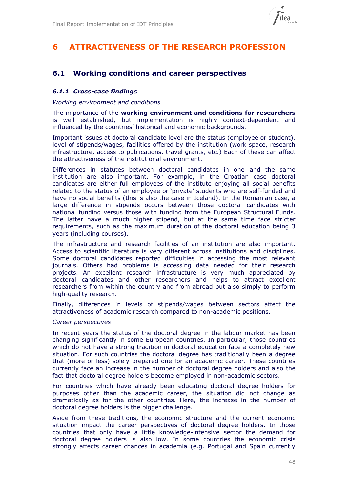

## <span id="page-47-0"></span>**6 ATTRACTIVENESS OF THE RESEARCH PROFESSION**

## **6.1 Working conditions and career perspectives**

### *6.1.1 Cross-case findings*

### *Working environment and conditions*

The importance of the **working environment and conditions for researchers**  is well established, but implementation is highly context-dependent and influenced by the countries' historical and economic backgrounds.

Important issues at doctoral candidate level are the status (employee or student), level of stipends/wages, facilities offered by the institution (work space, research infrastructure, access to publications, travel grants, etc.) Each of these can affect the attractiveness of the institutional environment.

Differences in statutes between doctoral candidates in one and the same institution are also important. For example, in the Croatian case doctoral candidates are either full employees of the institute enjoying all social benefits related to the status of an employee or 'private' students who are self-funded and have no social benefits (this is also the case in Iceland). In the Romanian case, a large difference in stipends occurs between those doctoral candidates with national funding versus those with funding from the European Structural Funds. The latter have a much higher stipend, but at the same time face stricter requirements, such as the maximum duration of the doctoral education being 3 years (including courses).

The infrastructure and research facilities of an institution are also important. Access to scientific literature is very different across institutions and disciplines. Some doctoral candidates reported difficulties in accessing the most relevant journals. Others had problems is accessing data needed for their research projects. An excellent research infrastructure is very much appreciated by doctoral candidates and other researchers and helps to attract excellent researchers from within the country and from abroad but also simply to perform high-quality research.

Finally, differences in levels of stipends/wages between sectors affect the attractiveness of academic research compared to non-academic positions.

### *Career perspectives*

In recent years the status of the doctoral degree in the labour market has been changing significantly in some European countries. In particular, those countries which do not have a strong tradition in doctoral education face a completely new situation. For such countries the doctoral degree has traditionally been a degree that (more or less) solely prepared one for an academic career. These countries currently face an increase in the number of doctoral degree holders and also the fact that doctoral degree holders become employed in non-academic sectors.

For countries which have already been educating doctoral degree holders for purposes other than the academic career, the situation did not change as dramatically as for the other countries. Here, the increase in the number of doctoral degree holders is the bigger challenge.

Aside from these traditions, the economic structure and the current economic situation impact the career perspectives of doctoral degree holders. In those countries that only have a little knowledge-intensive sector the demand for doctoral degree holders is also low. In some countries the economic crisis strongly affects career chances in academia (e.g. Portugal and Spain currently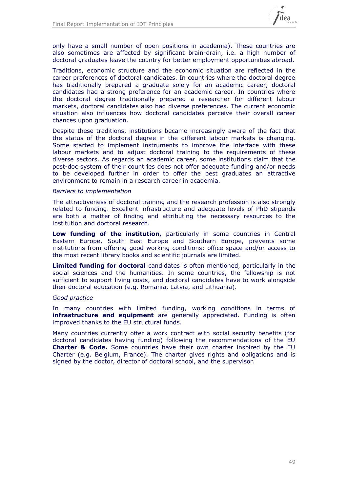

only have a small number of open positions in academia). These countries are also sometimes are affected by significant brain-drain, i.e. a high number of doctoral graduates leave the country for better employment opportunities abroad.

Traditions, economic structure and the economic situation are reflected in the career preferences of doctoral candidates. In countries where the doctoral degree has traditionally prepared a graduate solely for an academic career, doctoral candidates had a strong preference for an academic career. In countries where the doctoral degree traditionally prepared a researcher for different labour markets, doctoral candidates also had diverse preferences. The current economic situation also influences how doctoral candidates perceive their overall career chances upon graduation.

Despite these traditions, institutions became increasingly aware of the fact that the status of the doctoral degree in the different labour markets is changing. Some started to implement instruments to improve the interface with these labour markets and to adjust doctoral training to the requirements of these diverse sectors. As regards an academic career, some institutions claim that the post-doc system of their countries does not offer adequate funding and/or needs to be developed further in order to offer the best graduates an attractive environment to remain in a research career in academia.

### *Barriers to implementation*

The attractiveness of doctoral training and the research profession is also strongly related to funding. Excellent infrastructure and adequate levels of PhD stipends are both a matter of finding and attributing the necessary resources to the institution and doctoral research.

**Low funding of the institution,** particularly in some countries in Central Eastern Europe, South East Europe and Southern Europe, prevents some institutions from offering good working conditions: office space and/or access to the most recent library books and scientific journals are limited.

**Limited funding for doctoral** candidates is often mentioned, particularly in the social sciences and the humanities. In some countries, the fellowship is not sufficient to support living costs, and doctoral candidates have to work alongside their doctoral education (e.g. Romania, Latvia, and Lithuania).

### *Good practice*

In many countries with limited funding, working conditions in terms of **infrastructure and equipment** are generally appreciated. Funding is often improved thanks to the EU structural funds.

Many countries currently offer a work contract with social security benefits (for doctoral candidates having funding) following the recommendations of the EU **Charter & Code.** Some countries have their own charter inspired by the EU Charter (e.g. Belgium, France). The charter gives rights and obligations and is signed by the doctor, director of doctoral school, and the supervisor.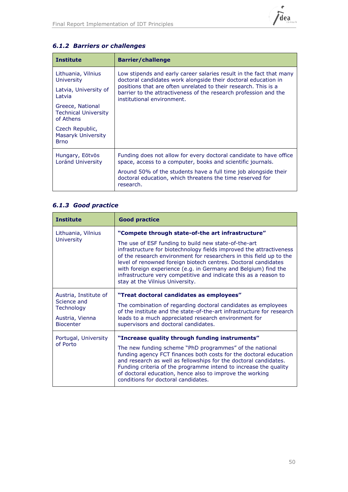

| <b>Institute</b>                                             | <b>Barrier/challenge</b>                                                                                                                                          |  |
|--------------------------------------------------------------|-------------------------------------------------------------------------------------------------------------------------------------------------------------------|--|
| Lithuania, Vilnius<br>University                             | Low stipends and early career salaries result in the fact that many<br>doctoral candidates work alongside their doctoral education in                             |  |
| Latvia, University of<br>Latvia                              | positions that are often unrelated to their research. This is a<br>barrier to the attractiveness of the research profession and the<br>institutional environment. |  |
| Greece, National<br><b>Technical University</b><br>of Athens |                                                                                                                                                                   |  |
| Czech Republic,<br>Masaryk University<br><b>Brno</b>         |                                                                                                                                                                   |  |
| Hungary, Eötvös<br>Loránd University                         | Funding does not allow for every doctoral candidate to have office<br>space, access to a computer, books and scientific journals.                                 |  |
|                                                              | Around 50% of the students have a full time job alongside their<br>doctoral education, which threatens the time reserved for<br>research.                         |  |

## *6.1.2 Barriers or challenges*

## *6.1.3 Good practice*

| <b>Institute</b>                                                                          | <b>Good practice</b>                                                                                                                                                                                                                                                                                                                                                                                                                                                                               |
|-------------------------------------------------------------------------------------------|----------------------------------------------------------------------------------------------------------------------------------------------------------------------------------------------------------------------------------------------------------------------------------------------------------------------------------------------------------------------------------------------------------------------------------------------------------------------------------------------------|
| Lithuania, Vilnius<br><b>University</b>                                                   | "Compete through state-of-the art infrastructure"<br>The use of ESF funding to build new state-of-the-art<br>infrastructure for biotechnology fields improved the attractiveness<br>of the research environment for researchers in this field up to the<br>level of renowned foreign biotech centres. Doctoral candidates<br>with foreign experience (e.g. in Germany and Belgium) find the<br>infrastructure very competitive and indicate this as a reason to<br>stay at the Vilnius University. |
| Austria, Institute of<br>Science and<br>Technology<br>Austria, Vienna<br><b>Biocenter</b> | "Treat doctoral candidates as employees"<br>The combination of regarding doctoral candidates as employees<br>of the institute and the state-of-the-art infrastructure for research<br>leads to a much appreciated research environment for<br>supervisors and doctoral candidates.                                                                                                                                                                                                                 |
| Portugal, University<br>of Porto                                                          | "Increase quality through funding instruments"<br>The new funding scheme "PhD programmes" of the national<br>funding agency FCT finances both costs for the doctoral education<br>and research as well as fellowships for the doctoral candidates.<br>Funding criteria of the programme intend to increase the quality<br>of doctoral education, hence also to improve the working<br>conditions for doctoral candidates.                                                                          |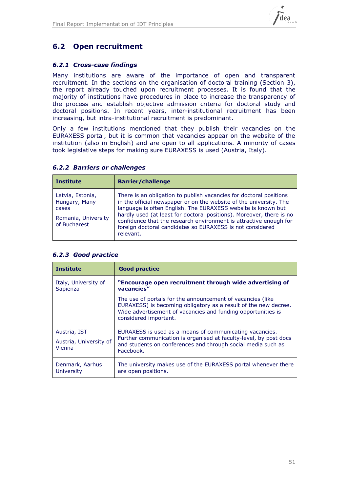

## **6.2 Open recruitment**

### *6.2.1 Cross-case findings*

Many institutions are aware of the importance of open and transparent recruitment. In the sections on the organisation of doctoral training (Section [3\)](#page-27-1), the report already touched upon recruitment processes. It is found that the majority of institutions have procedures in place to increase the transparency of the process and establish objective admission criteria for doctoral study and doctoral positions. In recent years, inter-institutional recruitment has been increasing, but intra-institutional recruitment is predominant.

Only a few institutions mentioned that they publish their vacancies on the EURAXESS portal, but it is common that vacancies appear on the website of the institution (also in English) and are open to all applications. A minority of cases took legislative steps for making sure EURAXESS is used (Austria, Italy).

| <b>6.2.2 Barriers or challenges</b> |  |  |
|-------------------------------------|--|--|
|-------------------------------------|--|--|

| <b>Institute</b>                                                                  | <b>Barrier/challenge</b>                                                                                                                                                                                                                                                                                                                                                                                                        |
|-----------------------------------------------------------------------------------|---------------------------------------------------------------------------------------------------------------------------------------------------------------------------------------------------------------------------------------------------------------------------------------------------------------------------------------------------------------------------------------------------------------------------------|
| Latvia, Estonia,<br>Hungary, Many<br>cases<br>Romania, University<br>of Bucharest | There is an obligation to publish vacancies for doctoral positions<br>in the official newspaper or on the website of the university. The<br>language is often English. The EURAXESS website is known but<br>hardly used (at least for doctoral positions). Moreover, there is no<br>confidence that the research environment is attractive enough for<br>foreign doctoral candidates so EURAXESS is not considered<br>relevant. |

| <b>Institute</b>                                 | <b>Good practice</b>                                                                                                                                                                                                   |
|--------------------------------------------------|------------------------------------------------------------------------------------------------------------------------------------------------------------------------------------------------------------------------|
| Italy, University of<br>Sapienza                 | "Encourage open recruitment through wide advertising of<br>vacancies"                                                                                                                                                  |
|                                                  | The use of portals for the announcement of vacancies (like<br>EURAXESS) is becoming obligatory as a result of the new decree.<br>Wide advertisement of vacancies and funding opportunities is<br>considered important. |
| Austria, IST<br>Austria, University of<br>Vienna | EURAXESS is used as a means of communicating vacancies.<br>Further communication is organised at faculty-level, by post docs<br>and students on conferences and through social media such as<br>Facebook.              |
| Denmark, Aarhus<br>University                    | The university makes use of the EURAXESS portal whenever there<br>are open positions.                                                                                                                                  |

### <span id="page-50-0"></span>*6.2.3 Good practice*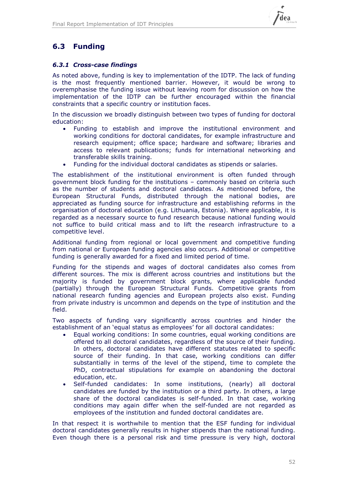

## **6.3 Funding**

### *6.3.1 Cross-case findings*

As noted above, funding is key to implementation of the IDTP. The lack of funding is the most frequently mentioned barrier. However, it would be wrong to overemphasise the funding issue without leaving room for discussion on how the implementation of the IDTP can be further encouraged within the financial constraints that a specific country or institution faces.

In the discussion we broadly distinguish between two types of funding for doctoral education:

- Funding to establish and improve the institutional environment and working conditions for doctoral candidates, for example infrastructure and research equipment; office space; hardware and software; libraries and access to relevant publications; funds for international networking and transferable skills training.
- Funding for the individual doctoral candidates as stipends or salaries.

The establishment of the institutional environment is often funded through government block funding for the institutions – commonly based on criteria such as the number of students and doctoral candidates. As mentioned before, the European Structural Funds, distributed through the national bodies, are appreciated as funding source for infrastructure and establishing reforms in the organisation of doctoral education (e.g. Lithuania, Estonia). Where applicable, it is regarded as a necessary source to fund research because national funding would not suffice to build critical mass and to lift the research infrastructure to a competitive level.

Additional funding from regional or local government and competitive funding from national or European funding agencies also occurs. Additional or competitive funding is generally awarded for a fixed and limited period of time.

Funding for the stipends and wages of doctoral candidates also comes from different sources. The mix is different across countries and institutions but the majority is funded by government block grants, where applicable funded (partially) through the European Structural Funds. Competitive grants from national research funding agencies and European projects also exist. Funding from private industry is uncommon and depends on the type of institution and the field.

Two aspects of funding vary significantly across countries and hinder the establishment of an 'equal status as employees' for all doctoral candidates:

- Equal working conditions: In some countries, equal working conditions are offered to all doctoral candidates, regardless of the source of their funding. In others, doctoral candidates have different statutes related to specific source of their funding. In that case, working conditions can differ substantially in terms of the level of the stipend, time to complete the PhD, contractual stipulations for example on abandoning the doctoral education, etc.
- Self-funded candidates: In some institutions, (nearly) all doctoral candidates are funded by the institution or a third party. In others, a large share of the doctoral candidates is self-funded. In that case, working conditions may again differ when the self-funded are not regarded as employees of the institution and funded doctoral candidates are.

In that respect it is worthwhile to mention that the ESF funding for individual doctoral candidates generally results in higher stipends than the national funding. Even though there is a personal risk and time pressure is very high, doctoral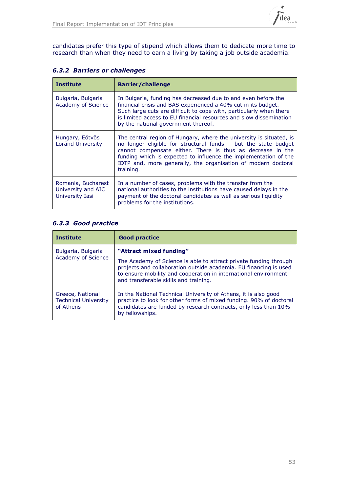

candidates prefer this type of stipend which allows them to dedicate more time to research than when they need to earn a living by taking a job outside academia.

| <b>6.3.2 Barriers or challenges</b> |  |  |
|-------------------------------------|--|--|
|-------------------------------------|--|--|

| <b>Institute</b>                                            | <b>Barrier/challenge</b>                                                                                                                                                                                                                                                                                                                              |
|-------------------------------------------------------------|-------------------------------------------------------------------------------------------------------------------------------------------------------------------------------------------------------------------------------------------------------------------------------------------------------------------------------------------------------|
| Bulgaria, Bulgaria<br>Academy of Science                    | In Bulgaria, funding has decreased due to and even before the<br>financial crisis and BAS experienced a 40% cut in its budget.<br>Such large cuts are difficult to cope with, particularly when there<br>is limited access to EU financial resources and slow dissemination<br>by the national government thereof.                                    |
| Hungary, Eötvös<br>Loránd University                        | The central region of Hungary, where the university is situated, is<br>no longer eligible for structural funds - but the state budget<br>cannot compensate either. There is thus as decrease in the<br>funding which is expected to influence the implementation of the<br>IDTP and, more generally, the organisation of modern doctoral<br>training. |
| Romania, Bucharest<br>University and AIC<br>University Iasi | In a number of cases, problems with the transfer from the<br>national authorities to the institutions have caused delays in the<br>payment of the doctoral candidates as well as serious liquidity<br>problems for the institutions.                                                                                                                  |

### *6.3.3 Good practice*

| <b>Institute</b>                                             | <b>Good practice</b>                                                                                                                                                                                                                                                          |
|--------------------------------------------------------------|-------------------------------------------------------------------------------------------------------------------------------------------------------------------------------------------------------------------------------------------------------------------------------|
| Bulgaria, Bulgaria<br><b>Academy of Science</b>              | "Attract mixed funding"<br>The Academy of Science is able to attract private funding through<br>projects and collaboration outside academia. EU financing is used<br>to ensure mobility and cooperation in international environment<br>and transferable skills and training. |
| Greece, National<br><b>Technical University</b><br>of Athens | In the National Technical University of Athens, it is also good<br>practice to look for other forms of mixed funding. 90% of doctoral<br>candidates are funded by research contracts, only less than 10%<br>by fellowships.                                                   |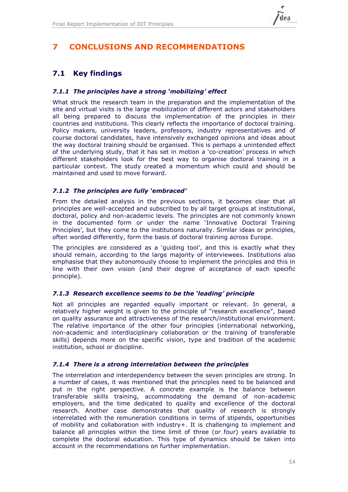

## **7 CONCLUSIONS AND RECOMMENDATIONS**

## **7.1 Key findings**

### *7.1.1 The principles have a strong 'mobilizing' effect*

What struck the research team in the preparation and the implementation of the site and virtual visits is the large mobilization of different actors and stakeholders all being prepared to discuss the implementation of the principles in their countries and institutions. This clearly reflects the importance of doctoral training. Policy makers, university leaders, professors, industry representatives and of course doctoral candidates, have intensively exchanged opinions and ideas about the way doctoral training should be organised. This is perhaps a unintended effect of the underlying study, that it has set in motion a 'co-creation' process in which different stakeholders look for the best way to organise doctoral training in a particular context. The study created a momentum which could and should be maintained and used to move forward.

### *7.1.2 The principles are fully 'embraced'*

From the detailed analysis in the previous sections, it becomes clear that all principles are well-accepted and subscribed to by all target groups at institutional, doctoral, policy and non-academic levels. The principles are not commonly known in the documented form or under the name 'Innovative Doctoral Training Principles', but they come to the institutions naturally. Similar ideas or principles, often worded differently, form the basis of doctoral training across Europe.

The principles are considered as a 'guiding tool', and this is exactly what they should remain, according to the large majority of interviewees. Institutions also emphasise that they autonomously choose to implement the principles and this in line with their own vision (and their degree of acceptance of each specific principle).

### *7.1.3 Research excellence seems to be the 'leading' principle*

Not all principles are regarded equally important or relevant. In general, a relatively higher weight is given to the principle of "research excellence", based on quality assurance and attractiveness of the research/institutional environment. The relative importance of the other four principles (international networking, non-academic and interdisciplinary collaboration or the training of transferable skills) depends more on the specific vision, type and tradition of the academic institution, school or discipline.

### *7.1.4 There is a strong interrelation between the principles*

The interrelation and interdependency between the seven principles are strong. In a number of cases, it was mentioned that the principles need to be balanced and put in the right perspective. A concrete example is the balance between transferable skills training, accommodating the demand of non-academic employers, and the time dedicated to quality and excellence of the doctoral research. Another case demonstrates that quality of research is strongly interrelated with the remuneration conditions in terms of stipends, opportunities of mobility and collaboration with industry+. It is challenging to implement and balance all principles within the time limit of three (or four) years available to complete the doctoral education. This type of dynamics should be taken into account in the recommendations on further implementation.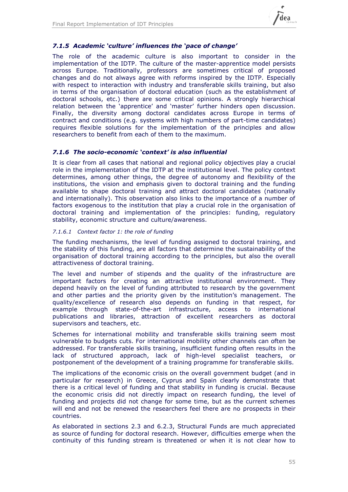

### *7.1.5 Academic 'culture' influences the 'pace of change'*

The role of the academic culture is also important to consider in the implementation of the IDTP. The culture of the master-apprentice model persists across Europe. Traditionally, professors are sometimes critical of proposed changes and do not always agree with reforms inspired by the IDTP. Especially with respect to interaction with industry and transferable skills training, but also in terms of the organisation of doctoral education (such as the establishment of doctoral schools, etc.) there are some critical opinions. A strongly hierarchical relation between the 'apprentice' and 'master' further hinders open discussion. Finally, the diversity among doctoral candidates across Europe in terms of contract and conditions (e.g. systems with high numbers of part-time candidates) requires flexible solutions for the implementation of the principles and allow researchers to benefit from each of them to the maximum.

### *7.1.6 The socio-economic 'context' is also influential*

It is clear from all cases that national and regional policy objectives play a crucial role in the implementation of the IDTP at the institutional level. The policy context determines, among other things, the degree of autonomy and flexibility of the institutions, the vision and emphasis given to doctoral training and the funding available to shape doctoral training and attract doctoral candidates (nationally and internationally). This observation also links to the importance of a number of factors exogenous to the institution that play a crucial role in the organisation of doctoral training and implementation of the principles: funding, regulatory stability, economic structure and culture/awareness.

### *7.1.6.1 Context factor 1: the role of funding*

The funding mechanisms, the level of funding assigned to doctoral training, and the stability of this funding, are all factors that determine the sustainability of the organisation of doctoral training according to the principles, but also the overall attractiveness of doctoral training.

The level and number of stipends and the quality of the infrastructure are important factors for creating an attractive institutional environment. They depend heavily on the level of funding attributed to research by the government and other parties and the priority given by the institution's management. The quality/excellence of research also depends on funding in that respect, for example through state-of-the-art infrastructure, access to international publications and libraries, attraction of excellent researchers as doctoral supervisors and teachers, etc.

Schemes for international mobility and transferable skills training seem most vulnerable to budgets cuts. For international mobility other channels can often be addressed. For transferable skills training, insufficient funding often results in the lack of structured approach, lack of high-level specialist teachers, or postponement of the development of a training programme for transferable skills.

The implications of the economic crisis on the overall government budget (and in particular for research) in Greece, Cyprus and Spain clearly demonstrate that there is a critical level of funding and that stability in funding is crucial. Because the economic crisis did not directly impact on research funding, the level of funding and projects did not change for some time, but as the current schemes will end and not be renewed the researchers feel there are no prospects in their countries.

As elaborated in sections [2.3](#page-24-0) and [6.2.3,](#page-50-0) Structural Funds are much appreciated as source of funding for doctoral research. However, difficulties emerge when the continuity of this funding stream is threatened or when it is not clear how to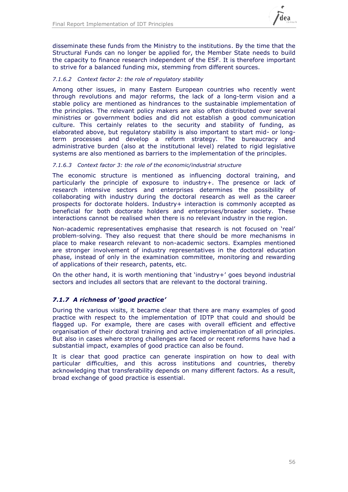

disseminate these funds from the Ministry to the institutions. By the time that the Structural Funds can no longer be applied for, the Member State needs to build the capacity to finance research independent of the ESF. It is therefore important to strive for a balanced funding mix, stemming from different sources.

### *7.1.6.2 Context factor 2: the role of regulatory stability*

Among other issues, in many Eastern European countries who recently went through revolutions and major reforms, the lack of a long-term vision and a stable policy are mentioned as hindrances to the sustainable implementation of the principles. The relevant policy makers are also often distributed over several ministries or government bodies and did not establish a good communication culture. This certainly relates to the security and stability of funding, as elaborated above, but regulatory stability is also important to start mid- or longterm processes and develop a reform strategy. The bureaucracy and administrative burden (also at the institutional level) related to rigid legislative systems are also mentioned as barriers to the implementation of the principles.

### *7.1.6.3 Context factor 3: the role of the economic/industrial structure*

The economic structure is mentioned as influencing doctoral training, and particularly the principle of exposure to industry+. The presence or lack of research intensive sectors and enterprises determines the possibility of collaborating with industry during the doctoral research as well as the career prospects for doctorate holders. Industry+ interaction is commonly accepted as beneficial for both doctorate holders and enterprises/broader society. These interactions cannot be realised when there is no relevant industry in the region.

Non-academic representatives emphasise that research is not focused on 'real' problem-solving. They also request that there should be more mechanisms in place to make research relevant to non-academic sectors. Examples mentioned are stronger involvement of industry representatives in the doctoral education phase, instead of only in the examination committee, monitoring and rewarding of applications of their research, patents, etc.

On the other hand, it is worth mentioning that 'industry+' goes beyond industrial sectors and includes all sectors that are relevant to the doctoral training.

### *7.1.7 A richness of 'good practice'*

During the various visits, it became clear that there are many examples of good practice with respect to the implementation of IDTP that could and should be flagged up. For example, there are cases with overall efficient and effective organisation of their doctoral training and active implementation of all principles. But also in cases where strong challenges are faced or recent reforms have had a substantial impact, examples of good practice can also be found.

It is clear that good practice can generate inspiration on how to deal with particular difficulties, and this across institutions and countries, thereby acknowledging that transferability depends on many different factors. As a result, broad exchange of good practice is essential.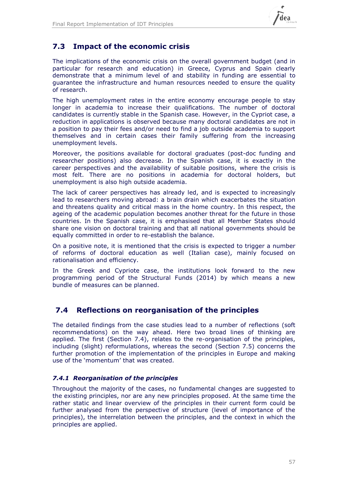

## **7.3 Impact of the economic crisis**

The implications of the economic crisis on the overall government budget (and in particular for research and education) in Greece, Cyprus and Spain clearly demonstrate that a minimum level of and stability in funding are essential to guarantee the infrastructure and human resources needed to ensure the quality of research.

The high unemployment rates in the entire economy encourage people to stay longer in academia to increase their qualifications. The number of doctoral candidates is currently stable in the Spanish case. However, in the Cypriot case, a reduction in applications is observed because many doctoral candidates are not in a position to pay their fees and/or need to find a job outside academia to support themselves and in certain cases their family suffering from the increasing unemployment levels.

Moreover, the positions available for doctoral graduates (post-doc funding and researcher positions) also decrease. In the Spanish case, it is exactly in the career perspectives and the availability of suitable positions, where the crisis is most felt. There are no positions in academia for doctoral holders, but unemployment is also high outside academia.

The lack of career perspectives has already led, and is expected to increasingly lead to researchers moving abroad: a brain drain which exacerbates the situation and threatens quality and critical mass in the home country. In this respect, the ageing of the academic population becomes another threat for the future in those countries. In the Spanish case, it is emphasised that all Member States should share one vision on doctoral training and that all national governments should be equally committed in order to re-establish the balance.

On a positive note, it is mentioned that the crisis is expected to trigger a number of reforms of doctoral education as well (Italian case), mainly focused on rationalisation and efficiency.

In the Greek and Cypriote case, the institutions look forward to the new programming period of the Structural Funds (2014) by which means a new bundle of measures can be planned.

### <span id="page-56-0"></span>**7.4 Reflections on reorganisation of the principles**

The detailed findings from the case studies lead to a number of reflections (soft recommendations) on the way ahead. Here two broad lines of thinking are applied. The first (Section [7.4\)](#page-56-0), relates to the re-organisation of the principles, including (slight) reformulations, whereas the second (Section [7.5\)](#page-59-0) concerns the further promotion of the implementation of the principles in Europe and making use of the 'momentum' that was created.

### *7.4.1 Reorganisation of the principles*

Throughout the majority of the cases, no fundamental changes are suggested to the existing principles, nor are any new principles proposed. At the same time the rather static and linear overview of the principles in their current form could be further analysed from the perspective of structure (level of importance of the principles), the interrelation between the principles, and the context in which the principles are applied.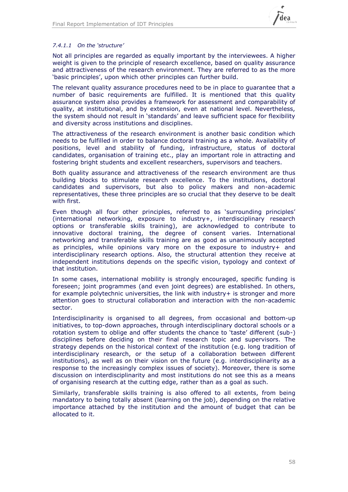

### *7.4.1.1 On the 'structure'*

Not all principles are regarded as equally important by the interviewees. A higher weight is given to the principle of research excellence, based on quality assurance and attractiveness of the research environment. They are referred to as the more 'basic principles', upon which other principles can further build.

The relevant quality assurance procedures need to be in place to guarantee that a number of basic requirements are fulfilled. It is mentioned that this quality assurance system also provides a framework for assessment and comparability of quality, at institutional, and by extension, even at national level. Nevertheless, the system should not result in 'standards' and leave sufficient space for flexibility and diversity across institutions and disciplines.

The attractiveness of the research environment is another basic condition which needs to be fulfilled in order to balance doctoral training as a whole. Availability of positions, level and stability of funding, infrastructure, status of doctoral candidates, organisation of training etc., play an important role in attracting and fostering bright students and excellent researchers, supervisors and teachers.

Both quality assurance and attractiveness of the research environment are thus building blocks to stimulate research excellence. To the institutions, doctoral candidates and supervisors, but also to policy makers and non-academic representatives, these three principles are so crucial that they deserve to be dealt with first.

Even though all four other principles, referred to as 'surrounding principles' (international networking, exposure to industry+, interdisciplinary research options or transferable skills training), are acknowledged to contribute to innovative doctoral training, the degree of consent varies. International networking and transferable skills training are as good as unanimously accepted as principles, while opinions vary more on the exposure to industry+ and interdisciplinary research options. Also, the structural attention they receive at independent institutions depends on the specific vision, typology and context of that institution.

In some cases, international mobility is strongly encouraged, specific funding is foreseen; joint programmes (and even joint degrees) are established. In others, for example polytechnic universities, the link with industry+ is stronger and more attention goes to structural collaboration and interaction with the non-academic sector.

Interdisciplinarity is organised to all degrees, from occasional and bottom-up initiatives, to top-down approaches, through interdisciplinary doctoral schools or a rotation system to oblige and offer students the chance to 'taste' different (sub-) disciplines before deciding on their final research topic and supervisors. The strategy depends on the historical context of the institution (e.g. long tradition of interdisciplinary research, or the setup of a collaboration between different institutions), as well as on their vision on the future (e.g. interdisciplinarity as a response to the increasingly complex issues of society). Moreover, there is some discussion on interdisciplinarity and most institutions do not see this as a means of organising research at the cutting edge, rather than as a goal as such.

Similarly, transferable skills training is also offered to all extents, from being mandatory to being totally absent (learning on the job), depending on the relative importance attached by the institution and the amount of budget that can be allocated to it.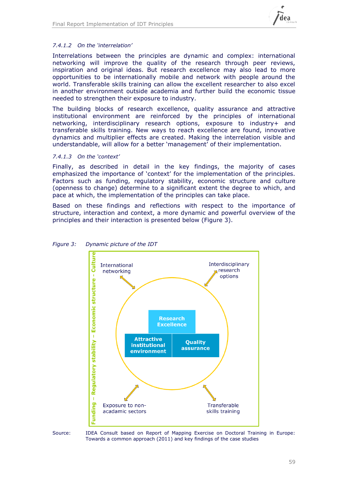

### *7.4.1.2 On the 'interrelation'*

Interrelations between the principles are dynamic and complex: international networking will improve the quality of the research through peer reviews, inspiration and original ideas. But research excellence may also lead to more opportunities to be internationally mobile and network with people around the world. Transferable skills training can allow the excellent researcher to also excel in another environment outside academia and further build the economic tissue needed to strengthen their exposure to industry.

The building blocks of research excellence, quality assurance and attractive institutional environment are reinforced by the principles of international networking, interdisciplinary research options, exposure to industry+ and transferable skills training. New ways to reach excellence are found, innovative dynamics and multiplier effects are created. Making the interrelation visible and understandable, will allow for a better 'management' of their implementation.

### *7.4.1.3 On the 'context'*

Finally, as described in detail in the key findings, the majority of cases emphasized the importance of 'context' for the implementation of the principles. Factors such as funding, regulatory stability, economic structure and culture (openness to change) determine to a significant extent the degree to which, and pace at which, the implementation of the principles can take place.

Based on these findings and reflections with respect to the importance of structure, interaction and context, a more dynamic and powerful overview of the principles and their interaction is presented below [\(Figure 3\)](#page-58-0).



### <span id="page-58-0"></span>*Figure 3: Dynamic picture of the IDT*

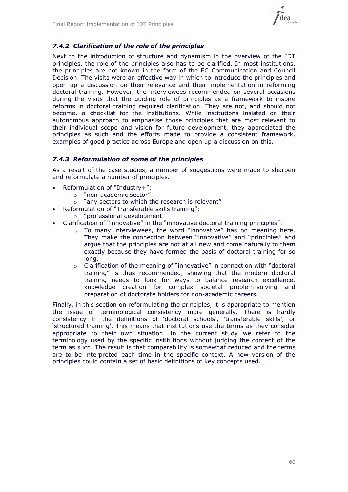

### *7.4.2 Clarification of the role of the principles*

Next to the introduction of structure and dynamism in the overview of the IDT principles, the role of the principles also has to be clarified. In most institutions, the principles are not known in the form of the EC Communication and Council Decision. The visits were an effective way in which to introduce the principles and open up a discussion on their relevance and their implementation in reforming doctoral training. However, the interviewees recommended on several occasions during the visits that the guiding role of principles as a framework to inspire reforms in doctoral training required clarification. They are not, and should not become, a checklist for the institutions. While institutions insisted on their autonomous approach to emphasise those principles that are most relevant to their individual scope and vision for future development, they appreciated the principles as such and the efforts made to provide a consistent framework, examples of good practice across Europe and open up a discussion on this.

### *7.4.3 Reformulation of some of the principles*

As a result of the case studies, a number of suggestions were made to sharpen and reformulate a number of principles.

- Reformulation of "Industry+":
	- o "non-academic sector"
	- o "any sectors to which the research is relevant"
- Reformulation of "Transferable skills training":
	- o "professional development"
- Clarification of "innovative" in the "innovative doctoral training principles":
	- o To many interviewees, the word "innovative" has no meaning here. They make the connection between "innovative" and "principles" and argue that the principles are not at all new and come naturally to them exactly because they have formed the basis of doctoral training for so long.
	- $\circ$  Clarification of the meaning of "innovative" in connection with "doctoral training" is thus recommended, showing that the modern doctoral training needs to look for ways to balance research excellence, knowledge creation for complex societal problem-solving and preparation of doctorate holders for non-academic careers.

<span id="page-59-0"></span>Finally, in this section on reformulating the principles, it is appropriate to mention the issue of terminological consistency more generally. There is hardly consistency in the definitions of 'doctoral schools', 'transferable skills', or 'structured training'. This means that institutions use the terms as they consider appropriate to their own situation. In the current study we refer to the terminology used by the specific institutions without judging the content of the term as such. The result is that comparability is somewhat reduced and the terms are to be interpreted each time in the specific context. A new version of the principles could contain a set of basic definitions of key concepts used.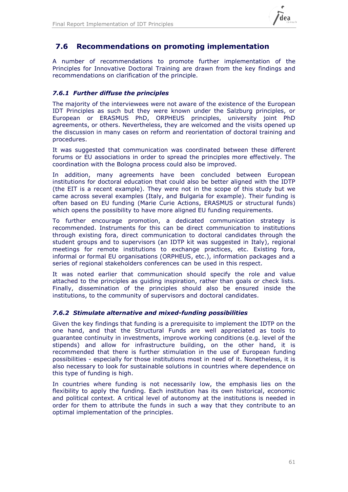

## **7.6 Recommendations on promoting implementation**

A number of recommendations to promote further implementation of the Principles for Innovative Doctoral Training are drawn from the key findings and recommendations on clarification of the principle.

### *7.6.1 Further diffuse the principles*

The majority of the interviewees were not aware of the existence of the European IDT Principles as such but they were known under the Salzburg principles, or European or ERASMUS PhD, ORPHEUS principles, university joint PhD agreements, or others. Nevertheless, they are welcomed and the visits opened up the discussion in many cases on reform and reorientation of doctoral training and procedures.

It was suggested that communication was coordinated between these different forums or EU associations in order to spread the principles more effectively. The coordination with the Bologna process could also be improved.

In addition, many agreements have been concluded between European institutions for doctoral education that could also be better aligned with the IDTP (the EIT is a recent example). They were not in the scope of this study but we came across several examples (Italy, and Bulgaria for example). Their funding is often based on EU funding (Marie Curie Actions, ERASMUS or structural funds) which opens the possibility to have more aligned EU funding requirements.

To further encourage promotion, a dedicated communication strategy is recommended. Instruments for this can be direct communication to institutions through existing fora, direct communication to doctoral candidates through the student groups and to supervisors (an IDTP kit was suggested in Italy), regional meetings for remote institutions to exchange practices, etc. Existing fora, informal or formal EU organisations (ORPHEUS, etc.), information packages and a series of regional stakeholders conferences can be used in this respect.

It was noted earlier that communication should specify the role and value attached to the principles as guiding inspiration, rather than goals or check lists. Finally, dissemination of the principles should also be ensured inside the institutions, to the community of supervisors and doctoral candidates.

### *7.6.2 Stimulate alternative and mixed-funding possibilities*

Given the key findings that funding is a prerequisite to implement the IDTP on the one hand, and that the Structural Funds are well appreciated as tools to guarantee continuity in investments, improve working conditions (e.g. level of the stipends) and allow for infrastructure building, on the other hand, it is recommended that there is further stimulation in the use of European funding possibilities - especially for those institutions most in need of it. Nonetheless, it is also necessary to look for sustainable solutions in countries where dependence on this type of funding is high.

In countries where funding is not necessarily low, the emphasis lies on the flexibility to apply the funding. Each institution has its own historical, economic and political context. A critical level of autonomy at the institutions is needed in order for them to attribute the funds in such a way that they contribute to an optimal implementation of the principles.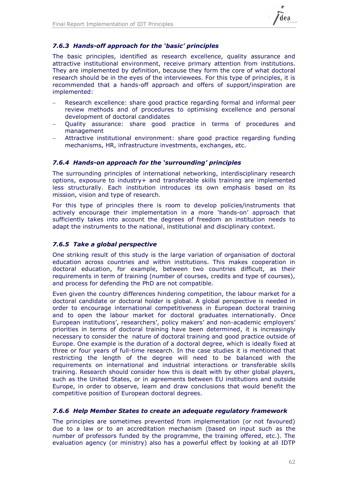

### *7.6.3 Hands-off approach for the 'basic' principles*

The basic principles, identified as research excellence, quality assurance and attractive institutional environment, receive primary attention from institutions. They are implemented by definition, because they form the core of what doctoral research should be in the eyes of the interviewees. For this type of principles, it is recommended that a hands-off approach and offers of support/inspiration are implemented:

- Research excellence: share good practice regarding formal and informal peer review methods and of procedures to optimising excellence and personal development of doctoral candidates
- Quality assurance: share good practice in terms of procedures and management
- Attractive institutional environment: share good practice regarding funding mechanisms, HR, infrastructure investments, exchanges, etc.

### *7.6.4 Hands-on approach for the 'surrounding' principles*

The surrounding principles of international networking, interdisciplinary research options, exposure to industry+ and transferable skills training are implemented less structurally. Each institution introduces its own emphasis based on its mission, vision and type of research.

For this type of principles there is room to develop policies/instruments that actively encourage their implementation in a more 'hands-on' approach that sufficiently takes into account the degrees of freedom an institution needs to adapt the instruments to the national, institutional and disciplinary context.

### *7.6.5 Take a global perspective*

One striking result of this study is the large variation of organisation of doctoral education across countries and within institutions. This makes cooperation in doctoral education, for example, between two countries difficult, as their requirements in term of training (number of courses, credits and type of courses), and process for defending the PhD are not compatible.

Even given the country differences hindering competition, the labour market for a doctoral candidate or doctoral holder is global. A global perspective is needed in order to encourage international competitiveness in European doctoral training and to open the labour market for doctoral graduates internationally. Once European institutions', researchers', policy makers' and non-academic employers' priorities in terms of doctoral training have been determined, it is increasingly necessary to consider the nature of doctoral training and good practice outside of Europe. One example is the duration of a doctoral degree, which is ideally fixed at three or four years of full-time research. In the case studies it is mentioned that restricting the length of the degree will need to be balanced with the requirements on international and industrial interactions or transferable skills training. Research should consider how this is dealt with by other global players, such as the United States, or in agreements between EU institutions and outside Europe, in order to observe, learn and draw conclusions that would benefit the competitive position of European doctoral degrees.

### *7.6.6 Help Member States to create an adequate regulatory framework*

The principles are sometimes prevented from implementation (or not favoured) due to a law or to an accreditation mechanism (based on input such as the number of professors funded by the programme, the training offered, etc.). The evaluation agency (or ministry) also has a powerful effect by looking at all IDTP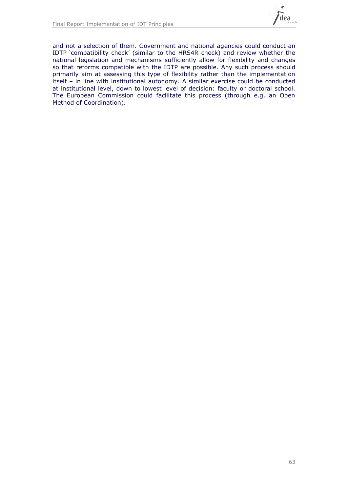

and not a selection of them. Government and national agencies could conduct an IDTP 'compatibility check' (similar to the HRS4R check) and review whether the national legislation and mechanisms sufficiently allow for flexibility and changes so that reforms compatible with the IDTP are possible. Any such process should primarily aim at assessing this type of flexibility rather than the implementation itself – in line with institutional autonomy. A similar exercise could be conducted at institutional level, down to lowest level of decision: faculty or doctoral school. The European Commission could facilitate this process (through e.g. an Open Method of Coordination).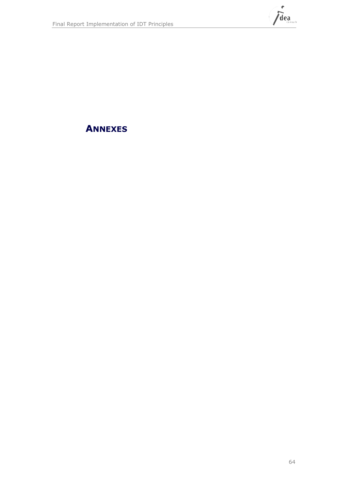

**ANNEXES**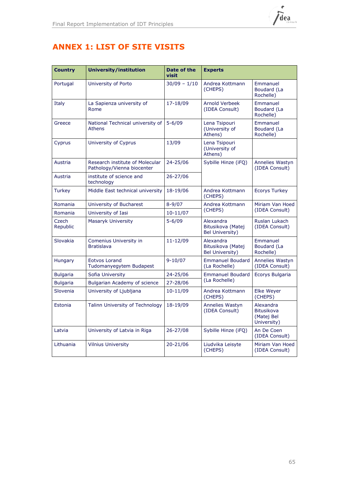

## **ANNEX 1: LIST OF SITE VISITS**

| <b>Country</b>    | <b>University/institution</b>                                 | Date of the<br>visit | <b>Experts</b>                                    |                                                             |  |
|-------------------|---------------------------------------------------------------|----------------------|---------------------------------------------------|-------------------------------------------------------------|--|
| Portugal          | University of Porto                                           | $30/09 - 1/10$       | Andrea Kottmann<br>(CHEPS)                        | Emmanuel<br>Boudard (La<br>Rochelle)                        |  |
| Italy             | La Sapienza university of<br>Rome                             | 17-18/09             | <b>Arnold Verbeek</b><br>(IDEA Consult)           | Emmanuel<br>Boudard (La<br>Rochelle)                        |  |
| Greece            | National Technical university of<br><b>Athens</b>             | $5 - 6/09$           | Lena Tsipouri<br>(University of<br>Athens)        | Emmanuel<br>Boudard (La<br>Rochelle)                        |  |
| Cyprus            | University of Cyprus                                          | 13/09                | Lena Tsipouri<br>(University of<br>Athens)        |                                                             |  |
| Austria           | Research institute of Molecular<br>Pathology/Vienna biocenter | 24-25/06             | Sybille Hinze (iFQ)                               | <b>Annelies Wastyn</b><br>(IDEA Consult)                    |  |
| Austria           | institute of science and<br>technology                        | 26-27/06             |                                                   |                                                             |  |
| <b>Turkey</b>     | Middle East technical university                              | 18-19/06             | Andrea Kottmann<br>(CHEPS)                        | <b>Ecorys Turkey</b>                                        |  |
| Romania           | University of Bucharest                                       | $8 - 9/07$           | Andrea Kottmann                                   | Miriam Van Hoed<br>(IDEA Consult)                           |  |
| Romania           | University of Iasi                                            | $10 - 11/07$         | (CHEPS)                                           |                                                             |  |
| Czech<br>Republic | Masaryk University                                            | $5 - 6/09$           | Alexandra<br>Bitusikova (Matej<br>Bel University) | Ruslan Lukach<br>(IDEA Consult)                             |  |
| Slovakia          | Comenius University in<br><b>Bratislava</b>                   | 11-12/09             | Alexandra<br>Bitusikova (Matej<br>Bel University) | Emmanuel<br>Boudard (La<br>Rochelle)                        |  |
| <b>Hungary</b>    | Eotvos Lorand<br>Tudomanyegytem Budapest                      | $9 - 10/07$          | <b>Emmanuel Boudard</b><br>(La Rochelle)          | <b>Annelies Wastyn</b><br>(IDEA Consult)                    |  |
| <b>Bulgaria</b>   | Sofia University                                              | 24-25/06             | <b>Emmanuel Boudard</b>                           | Ecorys Bulgaria                                             |  |
| <b>Bulgaria</b>   | Bulgarian Academy of science                                  | 27-28/06             | (La Rochelle)                                     |                                                             |  |
| Slovenia          | University of Ljubljana                                       | 10-11/09             | Andrea Kottmann<br>(CHEPS)                        | <b>Elke Weyer</b><br>(CHEPS)                                |  |
| Estonia           | Talinn University of Technology                               | 18-19/09             | <b>Annelies Wastyn</b><br>(IDEA Consult)          | Alexandra<br><b>Bitusikova</b><br>(Matej Bel<br>University) |  |
| Latvia            | University of Latvia in Riga                                  | 26-27/08             | Sybille Hinze (iFQ)                               | An De Coen<br>(IDEA Consult)                                |  |
| Lithuania         | <b>Vilnius University</b>                                     | 20-21/06             | Liudvika Leisyte<br>(CHEPS)                       | Miriam Van Hoed<br>(IDEA Consult)                           |  |